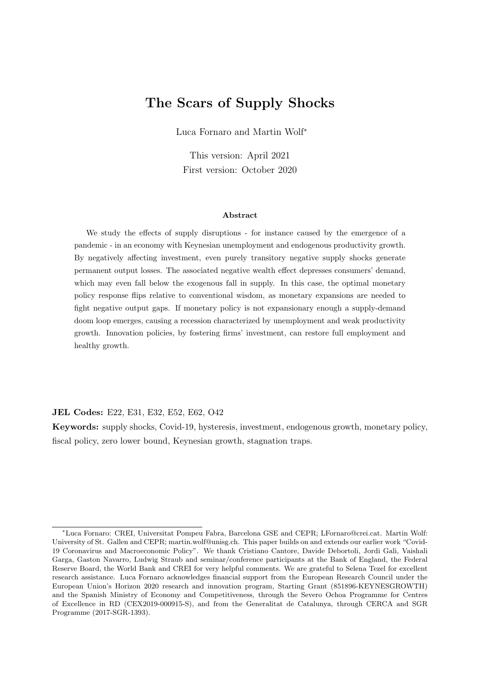## The Scars of Supply Shocks

Luca Fornaro and Martin Wolf<sup>∗</sup>

This version: April 2021 First version: October 2020

#### Abstract

We study the effects of supply disruptions - for instance caused by the emergence of a pandemic - in an economy with Keynesian unemployment and endogenous productivity growth. By negatively affecting investment, even purely transitory negative supply shocks generate permanent output losses. The associated negative wealth effect depresses consumers' demand, which may even fall below the exogenous fall in supply. In this case, the optimal monetary policy response flips relative to conventional wisdom, as monetary expansions are needed to fight negative output gaps. If monetary policy is not expansionary enough a supply-demand doom loop emerges, causing a recession characterized by unemployment and weak productivity growth. Innovation policies, by fostering firms' investment, can restore full employment and healthy growth.

JEL Codes: E22, E31, E32, E52, E62, O42

Keywords: supply shocks, Covid-19, hysteresis, investment, endogenous growth, monetary policy, fiscal policy, zero lower bound, Keynesian growth, stagnation traps.

<sup>∗</sup>Luca Fornaro: CREI, Universitat Pompeu Fabra, Barcelona GSE and CEPR; LFornaro@crei.cat. Martin Wolf: University of St. Gallen and CEPR; martin.wolf@unisg.ch. This paper builds on and extends our earlier work "Covid-19 Coronavirus and Macroeconomic Policy". We thank Cristiano Cantore, Davide Debortoli, Jordi Gali, Vaishali Garga, Gaston Navarro, Ludwig Straub and seminar/conference participants at the Bank of England, the Federal Reserve Board, the World Bank and CREI for very helpful comments. We are grateful to Selena Tezel for excellent research assistance. Luca Fornaro acknowledges financial support from the European Research Council under the European Union's Horizon 2020 research and innovation program, Starting Grant (851896-KEYNESGROWTH) and the Spanish Ministry of Economy and Competitiveness, through the Severo Ochoa Programme for Centres of Excellence in RD (CEX2019-000915-S), and from the Generalitat de Catalunya, through CERCA and SGR Programme (2017-SGR-1393).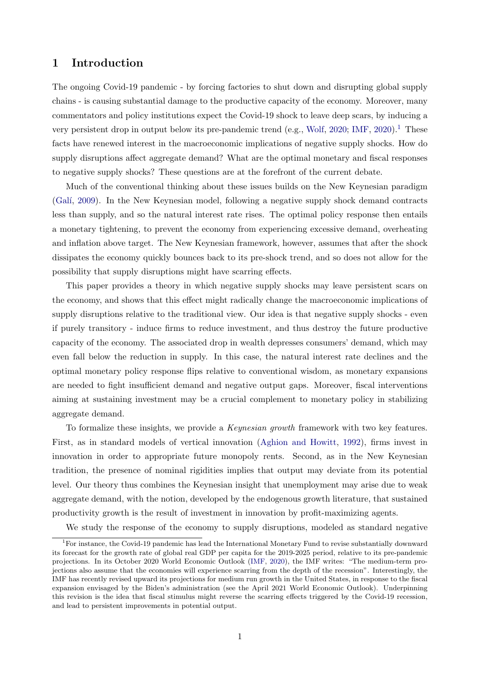## 1 Introduction

The ongoing Covid-19 pandemic - by forcing factories to shut down and disrupting global supply chains - is causing substantial damage to the productive capacity of the economy. Moreover, many commentators and policy institutions expect the Covid-19 shock to leave deep scars, by inducing a very persistent drop in output below its pre-pandemic trend (e.g., [Wolf,](#page-47-0) [2020;](#page-47-0) [IMF,](#page-46-0) [2020\)](#page-46-0).<sup>[1](#page-1-0)</sup> These facts have renewed interest in the macroeconomic implications of negative supply shocks. How do supply disruptions affect aggregate demand? What are the optimal monetary and fiscal responses to negative supply shocks? These questions are at the forefront of the current debate.

Much of the conventional thinking about these issues builds on the New Keynesian paradigm [\(Gal´ı,](#page-45-0) [2009\)](#page-45-0). In the New Keynesian model, following a negative supply shock demand contracts less than supply, and so the natural interest rate rises. The optimal policy response then entails a monetary tightening, to prevent the economy from experiencing excessive demand, overheating and inflation above target. The New Keynesian framework, however, assumes that after the shock dissipates the economy quickly bounces back to its pre-shock trend, and so does not allow for the possibility that supply disruptions might have scarring effects.

This paper provides a theory in which negative supply shocks may leave persistent scars on the economy, and shows that this effect might radically change the macroeconomic implications of supply disruptions relative to the traditional view. Our idea is that negative supply shocks - even if purely transitory - induce firms to reduce investment, and thus destroy the future productive capacity of the economy. The associated drop in wealth depresses consumers' demand, which may even fall below the reduction in supply. In this case, the natural interest rate declines and the optimal monetary policy response flips relative to conventional wisdom, as monetary expansions are needed to fight insufficient demand and negative output gaps. Moreover, fiscal interventions aiming at sustaining investment may be a crucial complement to monetary policy in stabilizing aggregate demand.

To formalize these insights, we provide a Keynesian growth framework with two key features. First, as in standard models of vertical innovation [\(Aghion and Howitt,](#page-44-0) [1992\)](#page-44-0), firms invest in innovation in order to appropriate future monopoly rents. Second, as in the New Keynesian tradition, the presence of nominal rigidities implies that output may deviate from its potential level. Our theory thus combines the Keynesian insight that unemployment may arise due to weak aggregate demand, with the notion, developed by the endogenous growth literature, that sustained productivity growth is the result of investment in innovation by profit-maximizing agents.

<span id="page-1-0"></span>We study the response of the economy to supply disruptions, modeled as standard negative

<sup>1</sup>For instance, the Covid-19 pandemic has lead the International Monetary Fund to revise substantially downward its forecast for the growth rate of global real GDP per capita for the 2019-2025 period, relative to its pre-pandemic projections. In its October 2020 World Economic Outlook [\(IMF,](#page-46-0) [2020\)](#page-46-0), the IMF writes: "The medium-term projections also assume that the economies will experience scarring from the depth of the recession". Interestingly, the IMF has recently revised upward its projections for medium run growth in the United States, in response to the fiscal expansion envisaged by the Biden's administration (see the April 2021 World Economic Outlook). Underpinning this revision is the idea that fiscal stimulus might reverse the scarring effects triggered by the Covid-19 recession, and lead to persistent improvements in potential output.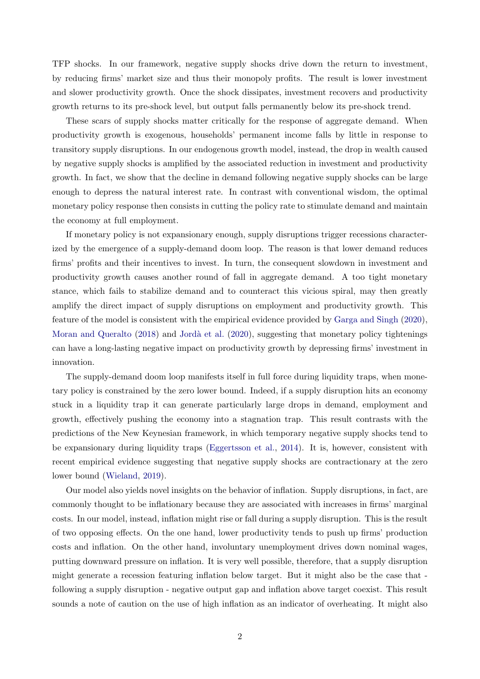TFP shocks. In our framework, negative supply shocks drive down the return to investment, by reducing firms' market size and thus their monopoly profits. The result is lower investment and slower productivity growth. Once the shock dissipates, investment recovers and productivity growth returns to its pre-shock level, but output falls permanently below its pre-shock trend.

These scars of supply shocks matter critically for the response of aggregate demand. When productivity growth is exogenous, households' permanent income falls by little in response to transitory supply disruptions. In our endogenous growth model, instead, the drop in wealth caused by negative supply shocks is amplified by the associated reduction in investment and productivity growth. In fact, we show that the decline in demand following negative supply shocks can be large enough to depress the natural interest rate. In contrast with conventional wisdom, the optimal monetary policy response then consists in cutting the policy rate to stimulate demand and maintain the economy at full employment.

If monetary policy is not expansionary enough, supply disruptions trigger recessions characterized by the emergence of a supply-demand doom loop. The reason is that lower demand reduces firms' profits and their incentives to invest. In turn, the consequent slowdown in investment and productivity growth causes another round of fall in aggregate demand. A too tight monetary stance, which fails to stabilize demand and to counteract this vicious spiral, may then greatly amplify the direct impact of supply disruptions on employment and productivity growth. This feature of the model is consistent with the empirical evidence provided by [Garga and Singh](#page-46-1) [\(2020\)](#page-46-1), [Moran and Queralto](#page-46-2) [\(2018\)](#page-46-2) and Jordà et al. [\(2020\)](#page-46-3), suggesting that monetary policy tightenings can have a long-lasting negative impact on productivity growth by depressing firms' investment in innovation.

The supply-demand doom loop manifests itself in full force during liquidity traps, when monetary policy is constrained by the zero lower bound. Indeed, if a supply disruption hits an economy stuck in a liquidity trap it can generate particularly large drops in demand, employment and growth, effectively pushing the economy into a stagnation trap. This result contrasts with the predictions of the New Keynesian framework, in which temporary negative supply shocks tend to be expansionary during liquidity traps [\(Eggertsson et al.,](#page-45-1) [2014\)](#page-45-1). It is, however, consistent with recent empirical evidence suggesting that negative supply shocks are contractionary at the zero lower bound [\(Wieland,](#page-46-4) [2019\)](#page-46-4).

Our model also yields novel insights on the behavior of inflation. Supply disruptions, in fact, are commonly thought to be inflationary because they are associated with increases in firms' marginal costs. In our model, instead, inflation might rise or fall during a supply disruption. This is the result of two opposing effects. On the one hand, lower productivity tends to push up firms' production costs and inflation. On the other hand, involuntary unemployment drives down nominal wages, putting downward pressure on inflation. It is very well possible, therefore, that a supply disruption might generate a recession featuring inflation below target. But it might also be the case that following a supply disruption - negative output gap and inflation above target coexist. This result sounds a note of caution on the use of high inflation as an indicator of overheating. It might also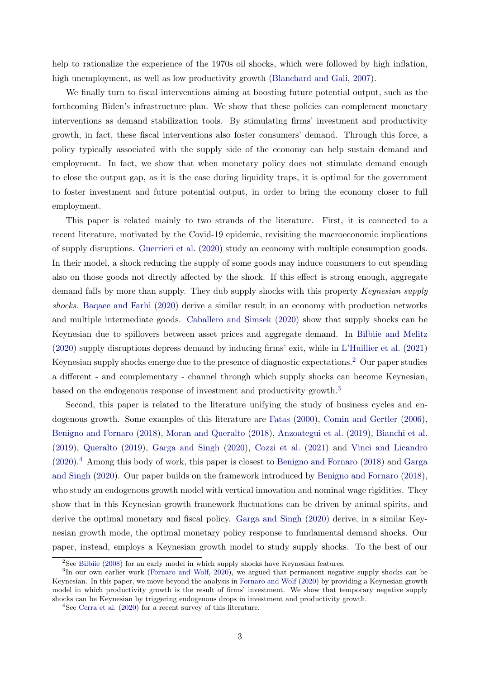help to rationalize the experience of the 1970s oil shocks, which were followed by high inflation, high unemployment, as well as low productivity growth [\(Blanchard and Gali,](#page-45-2) [2007\)](#page-45-2).

We finally turn to fiscal interventions aiming at boosting future potential output, such as the forthcoming Biden's infrastructure plan. We show that these policies can complement monetary interventions as demand stabilization tools. By stimulating firms' investment and productivity growth, in fact, these fiscal interventions also foster consumers' demand. Through this force, a policy typically associated with the supply side of the economy can help sustain demand and employment. In fact, we show that when monetary policy does not stimulate demand enough to close the output gap, as it is the case during liquidity traps, it is optimal for the government to foster investment and future potential output, in order to bring the economy closer to full employment.

This paper is related mainly to two strands of the literature. First, it is connected to a recent literature, motivated by the Covid-19 epidemic, revisiting the macroeconomic implications of supply disruptions. [Guerrieri et al.](#page-46-5) [\(2020\)](#page-46-5) study an economy with multiple consumption goods. In their model, a shock reducing the supply of some goods may induce consumers to cut spending also on those goods not directly affected by the shock. If this effect is strong enough, aggregate demand falls by more than supply. They dub supply shocks with this property Keynesian supply shocks. [Baqaee and Farhi](#page-44-1) [\(2020\)](#page-44-1) derive a similar result in an economy with production networks and multiple intermediate goods. [Caballero and Simsek](#page-45-3) [\(2020\)](#page-45-3) show that supply shocks can be Keynesian due to spillovers between asset prices and aggregate demand. In [Bilbiie and Melitz](#page-45-4) [\(2020\)](#page-45-4) supply disruptions depress demand by inducing firms' exit, while in [L'Huillier et al.](#page-46-6) [\(2021\)](#page-46-6) Keynesian supply shocks emerge due to the presence of diagnostic expectations.[2](#page-3-0) Our paper studies a different - and complementary - channel through which supply shocks can become Keynesian, based on the endogenous response of investment and productivity growth.[3](#page-3-1)

Second, this paper is related to the literature unifying the study of business cycles and endogenous growth. Some examples of this literature are [Fatas](#page-45-5) [\(2000\)](#page-45-5), [Comin and Gertler](#page-45-6) [\(2006\)](#page-45-6), [Benigno and Fornaro](#page-44-2) [\(2018\)](#page-44-2), [Moran and Queralto](#page-46-2) [\(2018\)](#page-46-2), [Anzoategui et al.](#page-44-3) [\(2019\)](#page-44-3), [Bianchi et al.](#page-44-4) [\(2019\)](#page-44-4), [Queralto](#page-46-7) [\(2019\)](#page-46-7), [Garga and Singh](#page-46-1) [\(2020\)](#page-46-1), [Cozzi et al.](#page-45-7) [\(2021\)](#page-45-7) and [Vinci and Licandro](#page-46-8)  $(2020).<sup>4</sup>$  $(2020).<sup>4</sup>$  $(2020).<sup>4</sup>$  $(2020).<sup>4</sup>$  Among this body of work, this paper is closest to [Benigno and Fornaro](#page-44-2)  $(2018)$  and [Garga](#page-46-1) [and Singh](#page-46-1) [\(2020\)](#page-46-1). Our paper builds on the framework introduced by [Benigno and Fornaro](#page-44-2) [\(2018\)](#page-44-2), who study an endogenous growth model with vertical innovation and nominal wage rigidities. They show that in this Keynesian growth framework fluctuations can be driven by animal spirits, and derive the optimal monetary and fiscal policy. [Garga and Singh](#page-46-1) [\(2020\)](#page-46-1) derive, in a similar Keynesian growth mode, the optimal monetary policy response to fundamental demand shocks. Our paper, instead, employs a Keynesian growth model to study supply shocks. To the best of our

<span id="page-3-1"></span><span id="page-3-0"></span><sup>&</sup>lt;sup>2</sup>See [Bilbiie](#page-45-8) [\(2008\)](#page-45-8) for an early model in which supply shocks have Keynesian features.

<sup>&</sup>lt;sup>3</sup>In our own earlier work [\(Fornaro and Wolf,](#page-45-9) [2020\)](#page-45-9), we argued that permanent negative supply shocks can be Keynesian. In this paper, we move beyond the analysis in [Fornaro and Wolf](#page-45-9) [\(2020\)](#page-45-9) by providing a Keynesian growth model in which productivity growth is the result of firms' investment. We show that temporary negative supply shocks can be Keynesian by triggering endogenous drops in investment and productivity growth.

<span id="page-3-2"></span><sup>4</sup>See [Cerra et al.](#page-45-10) [\(2020\)](#page-45-10) for a recent survey of this literature.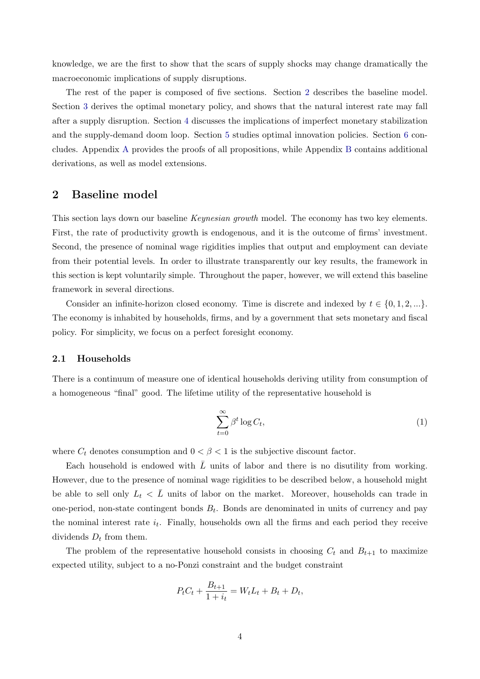knowledge, we are the first to show that the scars of supply shocks may change dramatically the macroeconomic implications of supply disruptions.

The rest of the paper is composed of five sections. Section [2](#page-4-0) describes the baseline model. Section [3](#page-11-0) derives the optimal monetary policy, and shows that the natural interest rate may fall after a supply disruption. Section [4](#page-15-0) discusses the implications of imperfect monetary stabilization and the supply-demand doom loop. Section [5](#page-22-0) studies optimal innovation policies. Section [6](#page-25-0) concludes. Appendix [A](#page-25-1) provides the proofs of all propositions, while Appendix [B](#page-30-0) contains additional derivations, as well as model extensions.

## <span id="page-4-0"></span>2 Baseline model

This section lays down our baseline *Keynesian growth* model. The economy has two key elements. First, the rate of productivity growth is endogenous, and it is the outcome of firms' investment. Second, the presence of nominal wage rigidities implies that output and employment can deviate from their potential levels. In order to illustrate transparently our key results, the framework in this section is kept voluntarily simple. Throughout the paper, however, we will extend this baseline framework in several directions.

Consider an infinite-horizon closed economy. Time is discrete and indexed by  $t \in \{0, 1, 2, ...\}$ . The economy is inhabited by households, firms, and by a government that sets monetary and fiscal policy. For simplicity, we focus on a perfect foresight economy.

### 2.1 Households

There is a continuum of measure one of identical households deriving utility from consumption of a homogeneous "final" good. The lifetime utility of the representative household is

$$
\sum_{t=0}^{\infty} \beta^t \log C_t,
$$
\n(1)

where  $C_t$  denotes consumption and  $0 < \beta < 1$  is the subjective discount factor.

Each household is endowed with  $\overline{L}$  units of labor and there is no disutility from working. However, due to the presence of nominal wage rigidities to be described below, a household might be able to sell only  $L_t < \bar{L}$  units of labor on the market. Moreover, households can trade in one-period, non-state contingent bonds  $B_t$ . Bonds are denominated in units of currency and pay the nominal interest rate  $i_t$ . Finally, households own all the firms and each period they receive dividends  $D_t$  from them.

The problem of the representative household consists in choosing  $C_t$  and  $B_{t+1}$  to maximize expected utility, subject to a no-Ponzi constraint and the budget constraint

$$
P_t C_t + \frac{B_{t+1}}{1 + i_t} = W_t L_t + B_t + D_t,
$$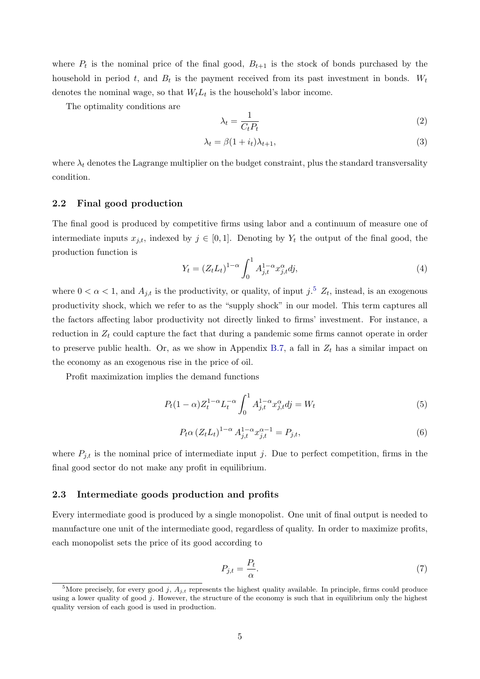where  $P_t$  is the nominal price of the final good,  $B_{t+1}$  is the stock of bonds purchased by the household in period t, and  $B_t$  is the payment received from its past investment in bonds.  $W_t$ denotes the nominal wage, so that  $W_t L_t$  is the household's labor income.

The optimality conditions are

<span id="page-5-5"></span>
$$
\lambda_t = \frac{1}{C_t P_t} \tag{2}
$$

<span id="page-5-6"></span>
$$
\lambda_t = \beta (1 + i_t) \lambda_{t+1},\tag{3}
$$

where  $\lambda_t$  denotes the Lagrange multiplier on the budget constraint, plus the standard transversality condition.

### 2.2 Final good production

The final good is produced by competitive firms using labor and a continuum of measure one of intermediate inputs  $x_{j,t}$ , indexed by  $j \in [0,1]$ . Denoting by  $Y_t$  the output of the final good, the production function is

<span id="page-5-3"></span>
$$
Y_t = (Z_t L_t)^{1-\alpha} \int_0^1 A_{j,t}^{1-\alpha} x_{j,t}^{\alpha} dj,
$$
\n(4)

where  $0 < \alpha < 1$ , and  $A_{j,t}$  is the productivity, or quality, of input  $j^{5}$  $j^{5}$  $j^{5}$   $Z_t$ , instead, is an exogenous productivity shock, which we refer to as the "supply shock" in our model. This term captures all the factors affecting labor productivity not directly linked to firms' investment. For instance, a reduction in  $Z_t$  could capture the fact that during a pandemic some firms cannot operate in order to preserve public health. Or, as we show in Appendix [B.7,](#page-43-0) a fall in  $Z_t$  has a similar impact on the economy as an exogenous rise in the price of oil.

Profit maximization implies the demand functions

<span id="page-5-4"></span>
$$
P_t(1-\alpha)Z_t^{1-\alpha}L_t^{-\alpha}\int_0^1 A_{j,t}^{1-\alpha}x_{j,t}^{\alpha}dj = W_t
$$
\n(5)

<span id="page-5-1"></span>
$$
P_t \alpha \left( Z_t L_t \right)^{1-\alpha} A_{j,t}^{1-\alpha} x_{j,t}^{\alpha-1} = P_{j,t},\tag{6}
$$

where  $P_{i,t}$  is the nominal price of intermediate input j. Due to perfect competition, firms in the final good sector do not make any profit in equilibrium.

### 2.3 Intermediate goods production and profits

Every intermediate good is produced by a single monopolist. One unit of final output is needed to manufacture one unit of the intermediate good, regardless of quality. In order to maximize profits, each monopolist sets the price of its good according to

<span id="page-5-2"></span>
$$
P_{j,t} = \frac{P_t}{\alpha}.\tag{7}
$$

<span id="page-5-0"></span><sup>&</sup>lt;sup>5</sup>More precisely, for every good j,  $A_{j,t}$  represents the highest quality available. In principle, firms could produce using a lower quality of good  $j$ . However, the structure of the economy is such that in equilibrium only the highest quality version of each good is used in production.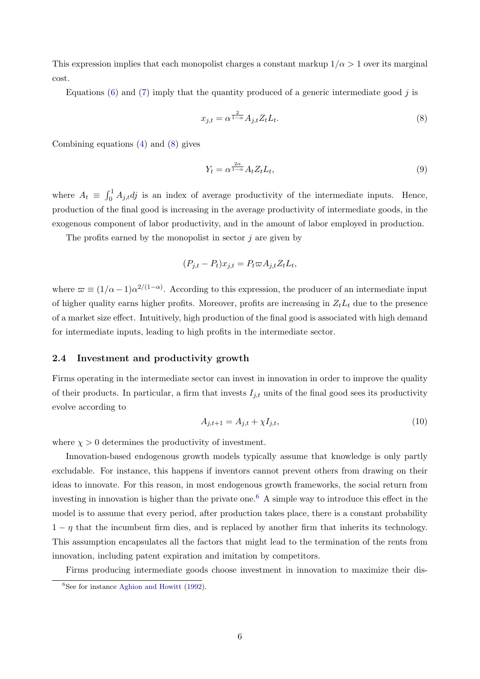This expression implies that each monopolist charges a constant markup  $1/\alpha > 1$  over its marginal cost.

Equations [\(6\)](#page-5-1) and [\(7\)](#page-5-2) imply that the quantity produced of a generic intermediate good  $j$  is

<span id="page-6-0"></span>
$$
x_{j,t} = \alpha^{\frac{2}{1-\alpha}} A_{j,t} Z_t L_t.
$$
\n<sup>(8)</sup>

Combining equations [\(4\)](#page-5-3) and [\(8\)](#page-6-0) gives

<span id="page-6-3"></span>
$$
Y_t = \alpha^{\frac{2\alpha}{1-\alpha}} A_t Z_t L_t,\tag{9}
$$

where  $A_t \equiv \int_0^1 A_{j,t} d_j$  is an index of average productivity of the intermediate inputs. Hence, production of the final good is increasing in the average productivity of intermediate goods, in the exogenous component of labor productivity, and in the amount of labor employed in production.

The profits earned by the monopolist in sector  $j$  are given by

$$
(P_{j,t} - P_t)x_{j,t} = P_t \varpi A_{j,t} Z_t L_t,
$$

where  $\varpi \equiv (1/\alpha - 1)\alpha^{2/(1-\alpha)}$ . According to this expression, the producer of an intermediate input of higher quality earns higher profits. Moreover, profits are increasing in  $Z_tL_t$  due to the presence of a market size effect. Intuitively, high production of the final good is associated with high demand for intermediate inputs, leading to high profits in the intermediate sector.

### 2.4 Investment and productivity growth

Firms operating in the intermediate sector can invest in innovation in order to improve the quality of their products. In particular, a firm that invests  $I_{j,t}$  units of the final good sees its productivity evolve according to

<span id="page-6-2"></span>
$$
A_{j,t+1} = A_{j,t} + \chi I_{j,t},\tag{10}
$$

where  $\chi > 0$  determines the productivity of investment.

Innovation-based endogenous growth models typically assume that knowledge is only partly excludable. For instance, this happens if inventors cannot prevent others from drawing on their ideas to innovate. For this reason, in most endogenous growth frameworks, the social return from investing in innovation is higher than the private one.<sup>[6](#page-6-1)</sup> A simple way to introduce this effect in the model is to assume that every period, after production takes place, there is a constant probability  $1 - \eta$  that the incumbent firm dies, and is replaced by another firm that inherits its technology. This assumption encapsulates all the factors that might lead to the termination of the rents from innovation, including patent expiration and imitation by competitors.

<span id="page-6-1"></span>Firms producing intermediate goods choose investment in innovation to maximize their dis- ${}^{6}$ See for instance [Aghion and Howitt](#page-44-0) [\(1992\)](#page-44-0).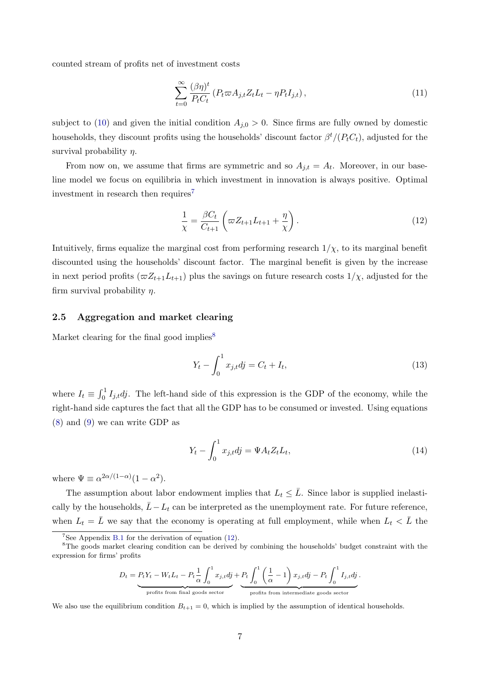counted stream of profits net of investment costs

<span id="page-7-5"></span>
$$
\sum_{t=0}^{\infty} \frac{(\beta \eta)^t}{P_t C_t} \left( P_t \varpi A_{j,t} Z_t L_t - \eta P_t I_{j,t} \right),\tag{11}
$$

subject to [\(10\)](#page-6-2) and given the initial condition  $A_{j,0} > 0$ . Since firms are fully owned by domestic households, they discount profits using the households' discount factor  $\beta^t/(P_tC_t)$ , adjusted for the survival probability  $\eta$ .

From now on, we assume that firms are symmetric and so  $A_{j,t} = A_t$ . Moreover, in our baseline model we focus on equilibria in which investment in innovation is always positive. Optimal investment in research then requires<sup>[7](#page-7-0)</sup>

<span id="page-7-2"></span>
$$
\frac{1}{\chi} = \frac{\beta C_t}{C_{t+1}} \left( \varpi Z_{t+1} L_{t+1} + \frac{\eta}{\chi} \right). \tag{12}
$$

Intuitively, firms equalize the marginal cost from performing research  $1/\chi$ , to its marginal benefit discounted using the households' discount factor. The marginal benefit is given by the increase in next period profits  $(\varpi Z_{t+1}L_{t+1})$  plus the savings on future research costs  $1/\chi$ , adjusted for the firm survival probability  $\eta$ .

### 2.5 Aggregation and market clearing

Market clearing for the final good implies<sup>[8](#page-7-1)</sup>

<span id="page-7-3"></span>
$$
Y_t - \int_0^1 x_{j,t} dy = C_t + I_t,
$$
\n(13)

where  $I_t \equiv \int_0^1 I_{j,t}dj$ . The left-hand side of this expression is the GDP of the economy, while the right-hand side captures the fact that all the GDP has to be consumed or invested. Using equations [\(8\)](#page-6-0) and [\(9\)](#page-6-3) we can write GDP as

<span id="page-7-4"></span>
$$
Y_t - \int_0^1 x_{j,t} dy = \Psi A_t Z_t L_t,
$$
\n(14)

where  $\Psi \equiv \alpha^{2\alpha/(1-\alpha)}(1-\alpha^2)$ .

The assumption about labor endowment implies that  $L_t \leq \overline{L}$ . Since labor is supplied inelastically by the households,  $\bar{L} - L_t$  can be interpreted as the unemployment rate. For future reference, when  $L_t = \overline{L}$  we say that the economy is operating at full employment, while when  $L_t < \overline{L}$  the

$$
D_t = P_t Y_t - W_t L_t - P_t \frac{1}{\alpha} \int_0^1 x_{j,t} d\dot{j} + P_t \int_0^1 \left(\frac{1}{\alpha} - 1\right) x_{j,t} d\dot{j} - P_t \int_0^1 I_{j,t} d\dot{j}.
$$
  
profits from final goods sector

We also use the equilibrium condition  $B_{t+1} = 0$ , which is implied by the assumption of identical households.

<span id="page-7-1"></span><span id="page-7-0"></span><sup>&</sup>lt;sup>7</sup>See Appendix [B.1](#page-30-1) for the derivation of equation  $(12)$ .

<sup>&</sup>lt;sup>8</sup>The goods market clearing condition can be derived by combining the households' budget constraint with the expression for firms' profits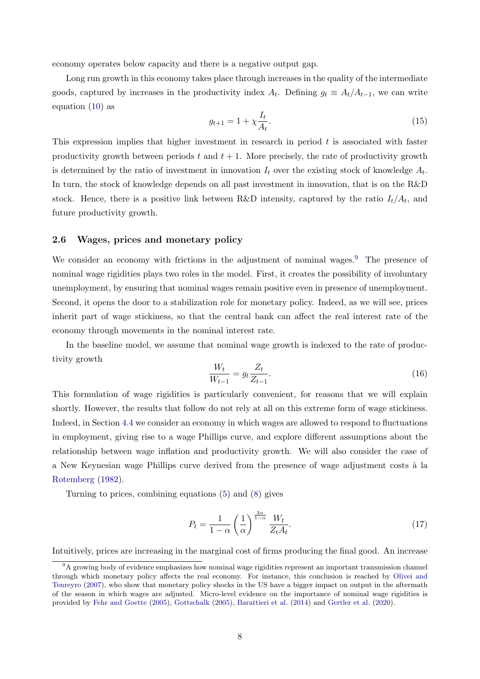economy operates below capacity and there is a negative output gap.

Long run growth in this economy takes place through increases in the quality of the intermediate goods, captured by increases in the productivity index  $A_t$ . Defining  $g_t \equiv A_t/A_{t-1}$ , we can write equation [\(10\)](#page-6-2) as

$$
g_{t+1} = 1 + \chi \frac{I_t}{A_t}.\tag{15}
$$

This expression implies that higher investment in research in period t is associated with faster productivity growth between periods  $t$  and  $t + 1$ . More precisely, the rate of productivity growth is determined by the ratio of investment in innovation  $I_t$  over the existing stock of knowledge  $A_t$ . In turn, the stock of knowledge depends on all past investment in innovation, that is on the R&D stock. Hence, there is a positive link between R&D intensity, captured by the ratio  $I_t/A_t$ , and future productivity growth.

### 2.6 Wages, prices and monetary policy

We consider an economy with frictions in the adjustment of nominal wages. $9$  The presence of nominal wage rigidities plays two roles in the model. First, it creates the possibility of involuntary unemployment, by ensuring that nominal wages remain positive even in presence of unemployment. Second, it opens the door to a stabilization role for monetary policy. Indeed, as we will see, prices inherit part of wage stickiness, so that the central bank can affect the real interest rate of the economy through movements in the nominal interest rate.

In the baseline model, we assume that nominal wage growth is indexed to the rate of productivity growth

<span id="page-8-1"></span>
$$
\frac{W_t}{W_{t-1}} = g_t \frac{Z_t}{Z_{t-1}}.
$$
\n(16)

This formulation of wage rigidities is particularly convenient, for reasons that we will explain shortly. However, the results that follow do not rely at all on this extreme form of wage stickiness. Indeed, in Section [4.4](#page-19-0) we consider an economy in which wages are allowed to respond to fluctuations in employment, giving rise to a wage Phillips curve, and explore different assumptions about the relationship between wage inflation and productivity growth. We will also consider the case of a New Keynesian wage Phillips curve derived from the presence of wage adjustment costs à la [Rotemberg](#page-46-9) [\(1982\)](#page-46-9).

Turning to prices, combining equations [\(5\)](#page-5-4) and [\(8\)](#page-6-0) gives

$$
P_t = \frac{1}{1 - \alpha} \left(\frac{1}{\alpha}\right)^{\frac{2\alpha}{1 - \alpha}} \frac{W_t}{Z_t A_t}.
$$
\n(17)

Intuitively, prices are increasing in the marginal cost of firms producing the final good. An increase

<span id="page-8-0"></span> $9A$  growing body of evidence emphasizes how nominal wage rigidities represent an important transmission channel through which monetary policy affects the real economy. For instance, this conclusion is reached by [Olivei and](#page-46-10) [Tenreyro](#page-46-10) [\(2007\)](#page-46-10), who show that monetary policy shocks in the US have a bigger impact on output in the aftermath of the season in which wages are adjusted. Micro-level evidence on the importance of nominal wage rigidities is provided by [Fehr and Goette](#page-45-11) [\(2005\)](#page-45-11), [Gottschalk](#page-46-11) [\(2005\)](#page-46-11), [Barattieri et al.](#page-44-5) [\(2014\)](#page-44-5) and [Gertler et al.](#page-46-12) [\(2020\)](#page-46-12).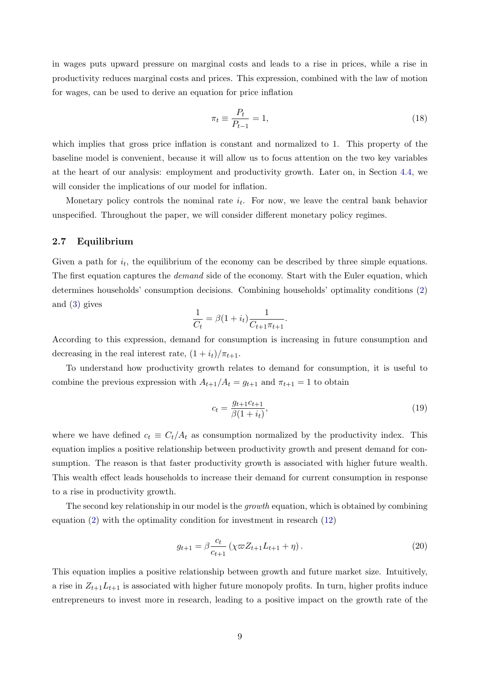in wages puts upward pressure on marginal costs and leads to a rise in prices, while a rise in productivity reduces marginal costs and prices. This expression, combined with the law of motion for wages, can be used to derive an equation for price inflation

$$
\pi_t \equiv \frac{P_t}{P_{t-1}} = 1,\tag{18}
$$

which implies that gross price inflation is constant and normalized to 1. This property of the baseline model is convenient, because it will allow us to focus attention on the two key variables at the heart of our analysis: employment and productivity growth. Later on, in Section [4.4,](#page-19-0) we will consider the implications of our model for inflation.

Monetary policy controls the nominal rate  $i_t$ . For now, we leave the central bank behavior unspecified. Throughout the paper, we will consider different monetary policy regimes.

### 2.7 Equilibrium

Given a path for  $i_t$ , the equilibrium of the economy can be described by three simple equations. The first equation captures the *demand* side of the economy. Start with the Euler equation, which determines households' consumption decisions. Combining households' optimality conditions [\(2\)](#page-5-5) and [\(3\)](#page-5-6) gives

$$
\frac{1}{C_t} = \beta (1 + i_t) \frac{1}{C_{t+1} \pi_{t+1}}.
$$

According to this expression, demand for consumption is increasing in future consumption and decreasing in the real interest rate,  $(1 + i_t)/\pi_{t+1}$ .

To understand how productivity growth relates to demand for consumption, it is useful to combine the previous expression with  $A_{t+1}/A_t = g_{t+1}$  and  $\pi_{t+1} = 1$  to obtain

<span id="page-9-0"></span>
$$
c_t = \frac{g_{t+1}c_{t+1}}{\beta(1+i_t)},
$$
\n(19)

where we have defined  $c_t \equiv C_t/A_t$  as consumption normalized by the productivity index. This equation implies a positive relationship between productivity growth and present demand for consumption. The reason is that faster productivity growth is associated with higher future wealth. This wealth effect leads households to increase their demand for current consumption in response to a rise in productivity growth.

The second key relationship in our model is the *growth* equation, which is obtained by combining equation [\(2\)](#page-5-5) with the optimality condition for investment in research [\(12\)](#page-7-2)

<span id="page-9-1"></span>
$$
g_{t+1} = \beta \frac{c_t}{c_{t+1}} \left( \chi \varpi Z_{t+1} L_{t+1} + \eta \right). \tag{20}
$$

This equation implies a positive relationship between growth and future market size. Intuitively, a rise in  $Z_{t+1}L_{t+1}$  is associated with higher future monopoly profits. In turn, higher profits induce entrepreneurs to invest more in research, leading to a positive impact on the growth rate of the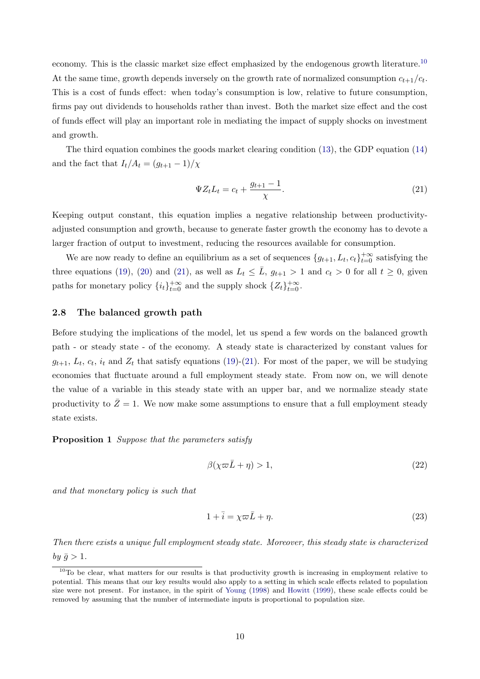economy. This is the classic market size effect emphasized by the endogenous growth literature.[10](#page-10-0) At the same time, growth depends inversely on the growth rate of normalized consumption  $c_{t+1}/c_t$ . This is a cost of funds effect: when today's consumption is low, relative to future consumption, firms pay out dividends to households rather than invest. Both the market size effect and the cost of funds effect will play an important role in mediating the impact of supply shocks on investment and growth.

The third equation combines the goods market clearing condition [\(13\)](#page-7-3), the GDP equation [\(14\)](#page-7-4) and the fact that  $I_t/A_t = (g_{t+1}-1)/\chi$ 

<span id="page-10-1"></span>
$$
\Psi Z_t L_t = c_t + \frac{g_{t+1} - 1}{\chi}.
$$
\n(21)

Keeping output constant, this equation implies a negative relationship between productivityadjusted consumption and growth, because to generate faster growth the economy has to devote a larger fraction of output to investment, reducing the resources available for consumption.

We are now ready to define an equilibrium as a set of sequences  $\{g_{t+1}, L_t, c_t\}_{t=0}^{+\infty}$  satisfying the three equations [\(19\)](#page-9-0), [\(20\)](#page-9-1) and [\(21\)](#page-10-1), as well as  $L_t \leq \bar{L}$ ,  $g_{t+1} > 1$  and  $c_t > 0$  for all  $t \geq 0$ , given paths for monetary policy  $\{i_t\}_{t=0}^{+\infty}$  and the supply shock  $\{Z_t\}_{t=0}^{+\infty}$ .

### 2.8 The balanced growth path

Before studying the implications of the model, let us spend a few words on the balanced growth path - or steady state - of the economy. A steady state is characterized by constant values for  $g_{t+1}, L_t, c_t, i_t$  and  $Z_t$  that satisfy equations [\(19\)](#page-9-0)-[\(21\)](#page-10-1). For most of the paper, we will be studying economies that fluctuate around a full employment steady state. From now on, we will denote the value of a variable in this steady state with an upper bar, and we normalize steady state productivity to  $\bar{Z}=1$ . We now make some assumptions to ensure that a full employment steady state exists.

### <span id="page-10-4"></span>Proposition 1 Suppose that the parameters satisfy

<span id="page-10-2"></span>
$$
\beta(\chi \varpi \bar{L} + \eta) > 1,\tag{22}
$$

and that monetary policy is such that

<span id="page-10-3"></span>
$$
1 + \overline{i} = \chi \varpi \overline{L} + \eta. \tag{23}
$$

Then there exists a unique full employment steady state. Moreover, this steady state is characterized by  $\bar{g} > 1$ .

<span id="page-10-0"></span> $10$ To be clear, what matters for our results is that productivity growth is increasing in employment relative to potential. This means that our key results would also apply to a setting in which scale effects related to population size were not present. For instance, in the spirit of [Young](#page-47-1) [\(1998\)](#page-47-1) and [Howitt](#page-46-13) [\(1999\)](#page-46-13), these scale effects could be removed by assuming that the number of intermediate inputs is proportional to population size.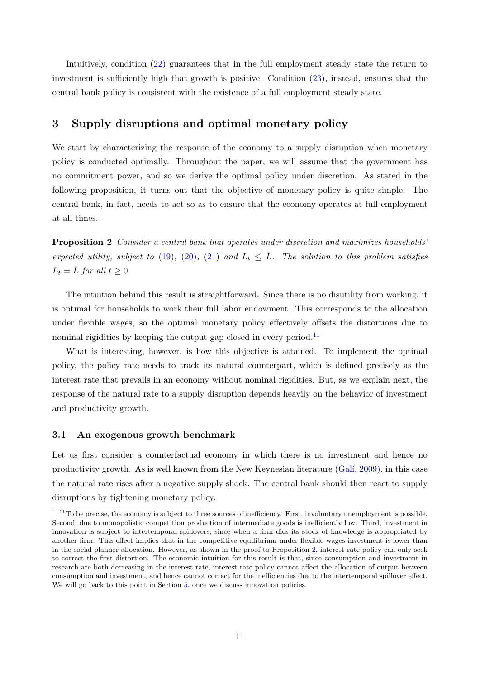Intuitively, condition [\(22\)](#page-10-2) guarantees that in the full employment steady state the return to investment is sufficiently high that growth is positive. Condition [\(23\)](#page-10-3), instead, ensures that the central bank policy is consistent with the existence of a full employment steady state.

## <span id="page-11-0"></span>3 Supply disruptions and optimal monetary policy

We start by characterizing the response of the economy to a supply disruption when monetary policy is conducted optimally. Throughout the paper, we will assume that the government has no commitment power, and so we derive the optimal policy under discretion. As stated in the following proposition, it turns out that the objective of monetary policy is quite simple. The central bank, in fact, needs to act so as to ensure that the economy operates at full employment at all times.

<span id="page-11-2"></span>Proposition 2 Consider a central bank that operates under discretion and maximizes households' expected utility, subject to [\(19\)](#page-9-0), [\(20\)](#page-9-1), [\(21\)](#page-10-1) and  $L_t \leq \overline{L}$ . The solution to this problem satisfies  $L_t = \bar{L}$  for all  $t \geq 0$ .

The intuition behind this result is straightforward. Since there is no disutility from working, it is optimal for households to work their full labor endowment. This corresponds to the allocation under flexible wages, so the optimal monetary policy effectively offsets the distortions due to nominal rigidities by keeping the output gap closed in every period.<sup>[11](#page-11-1)</sup>

What is interesting, however, is how this objective is attained. To implement the optimal policy, the policy rate needs to track its natural counterpart, which is defined precisely as the interest rate that prevails in an economy without nominal rigidities. But, as we explain next, the response of the natural rate to a supply disruption depends heavily on the behavior of investment and productivity growth.

### 3.1 An exogenous growth benchmark

Let us first consider a counterfactual economy in which there is no investment and hence no productivity growth. As is well known from the New Keynesian literature (Galí, [2009\)](#page-45-0), in this case the natural rate rises after a negative supply shock. The central bank should then react to supply disruptions by tightening monetary policy.

<span id="page-11-1"></span> $11$ To be precise, the economy is subject to three sources of inefficiency. First, involuntary unemployment is possible. Second, due to monopolistic competition production of intermediate goods is inefficiently low. Third, investment in innovation is subject to intertemporal spillovers, since when a firm dies its stock of knowledge is appropriated by another firm. This effect implies that in the competitive equilibrium under flexible wages investment is lower than in the social planner allocation. However, as shown in the proof to Proposition [2,](#page-11-2) interest rate policy can only seek to correct the first distortion. The economic intuition for this result is that, since consumption and investment in research are both decreasing in the interest rate, interest rate policy cannot affect the allocation of output between consumption and investment, and hence cannot correct for the inefficiencies due to the intertemporal spillover effect. We will go back to this point in Section [5,](#page-22-0) once we discuss innovation policies.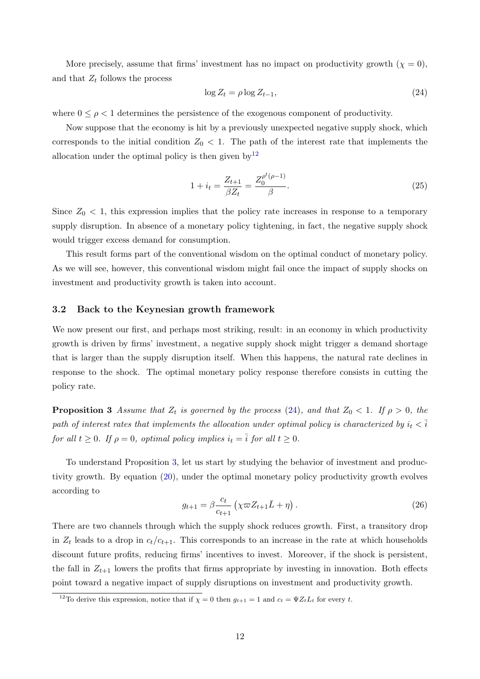More precisely, assume that firms' investment has no impact on productivity growth  $(\chi = 0)$ , and that  $Z_t$  follows the process

<span id="page-12-1"></span>
$$
\log Z_t = \rho \log Z_{t-1},\tag{24}
$$

where  $0 \leq \rho < 1$  determines the persistence of the exogenous component of productivity.

Now suppose that the economy is hit by a previously unexpected negative supply shock, which corresponds to the initial condition  $Z_0 < 1$ . The path of the interest rate that implements the allocation under the optimal policy is then given by  $12$ 

$$
1 + i_t = \frac{Z_{t+1}}{\beta Z_t} = \frac{Z_0^{\rho^t(\rho - 1)}}{\beta}.
$$
\n(25)

Since  $Z_0$  < 1, this expression implies that the policy rate increases in response to a temporary supply disruption. In absence of a monetary policy tightening, in fact, the negative supply shock would trigger excess demand for consumption.

This result forms part of the conventional wisdom on the optimal conduct of monetary policy. As we will see, however, this conventional wisdom might fail once the impact of supply shocks on investment and productivity growth is taken into account.

### 3.2 Back to the Keynesian growth framework

We now present our first, and perhaps most striking, result: in an economy in which productivity growth is driven by firms' investment, a negative supply shock might trigger a demand shortage that is larger than the supply disruption itself. When this happens, the natural rate declines in response to the shock. The optimal monetary policy response therefore consists in cutting the policy rate.

<span id="page-12-2"></span>**Proposition 3** Assume that  $Z_t$  is governed by the process [\(24\)](#page-12-1), and that  $Z_0 < 1$ . If  $\rho > 0$ , the path of interest rates that implements the allocation under optimal policy is characterized by  $i_t < \overline{i}$ for all  $t \geq 0$ . If  $\rho = 0$ , optimal policy implies  $i_t = \overline{i}$  for all  $t \geq 0$ .

To understand Proposition [3,](#page-12-2) let us start by studying the behavior of investment and productivity growth. By equation [\(20\)](#page-9-1), under the optimal monetary policy productivity growth evolves according to

$$
g_{t+1} = \beta \frac{c_t}{c_{t+1}} \left( \chi \varpi Z_{t+1} \bar{L} + \eta \right).
$$
 (26)

There are two channels through which the supply shock reduces growth. First, a transitory drop in  $Z_t$  leads to a drop in  $c_t/c_{t+1}$ . This corresponds to an increase in the rate at which households discount future profits, reducing firms' incentives to invest. Moreover, if the shock is persistent, the fall in  $Z_{t+1}$  lowers the profits that firms appropriate by investing in innovation. Both effects point toward a negative impact of supply disruptions on investment and productivity growth.

<span id="page-12-0"></span><sup>&</sup>lt;sup>12</sup>To derive this expression, notice that if  $\chi = 0$  then  $g_{t+1} = 1$  and  $c_t = \Psi Z_t L_t$  for every t.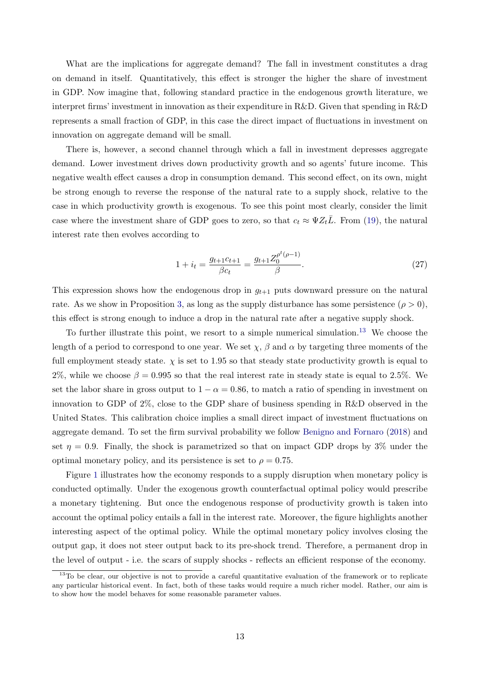What are the implications for aggregate demand? The fall in investment constitutes a drag on demand in itself. Quantitatively, this effect is stronger the higher the share of investment in GDP. Now imagine that, following standard practice in the endogenous growth literature, we interpret firms' investment in innovation as their expenditure in R&D. Given that spending in R&D represents a small fraction of GDP, in this case the direct impact of fluctuations in investment on innovation on aggregate demand will be small.

There is, however, a second channel through which a fall in investment depresses aggregate demand. Lower investment drives down productivity growth and so agents' future income. This negative wealth effect causes a drop in consumption demand. This second effect, on its own, might be strong enough to reverse the response of the natural rate to a supply shock, relative to the case in which productivity growth is exogenous. To see this point most clearly, consider the limit case where the investment share of GDP goes to zero, so that  $c_t \approx \Psi Z_t \overline{L}$ . From [\(19\)](#page-9-0), the natural interest rate then evolves according to

$$
1 + i_t = \frac{g_{t+1}c_{t+1}}{\beta c_t} = \frac{g_{t+1}Z_0^{\rho^t(\rho - 1)}}{\beta}.
$$
\n(27)

This expression shows how the endogenous drop in  $g_{t+1}$  puts downward pressure on the natural rate. As we show in Proposition [3,](#page-12-2) as long as the supply disturbance has some persistence  $(\rho > 0)$ , this effect is strong enough to induce a drop in the natural rate after a negative supply shock.

To further illustrate this point, we resort to a simple numerical simulation.[13](#page-13-0) We choose the length of a period to correspond to one year. We set  $\chi$ ,  $\beta$  and  $\alpha$  by targeting three moments of the full employment steady state.  $\chi$  is set to 1.95 so that steady state productivity growth is equal to 2%, while we choose  $\beta = 0.995$  so that the real interest rate in steady state is equal to 2.5%. We set the labor share in gross output to  $1 - \alpha = 0.86$ , to match a ratio of spending in investment on innovation to GDP of 2%, close to the GDP share of business spending in R&D observed in the United States. This calibration choice implies a small direct impact of investment fluctuations on aggregate demand. To set the firm survival probability we follow [Benigno and Fornaro](#page-44-2) [\(2018\)](#page-44-2) and set  $\eta = 0.9$ . Finally, the shock is parametrized so that on impact GDP drops by 3% under the optimal monetary policy, and its persistence is set to  $\rho = 0.75$ .

Figure [1](#page-14-0) illustrates how the economy responds to a supply disruption when monetary policy is conducted optimally. Under the exogenous growth counterfactual optimal policy would prescribe a monetary tightening. But once the endogenous response of productivity growth is taken into account the optimal policy entails a fall in the interest rate. Moreover, the figure highlights another interesting aspect of the optimal policy. While the optimal monetary policy involves closing the output gap, it does not steer output back to its pre-shock trend. Therefore, a permanent drop in the level of output - i.e. the scars of supply shocks - reflects an efficient response of the economy.

<span id="page-13-0"></span><sup>&</sup>lt;sup>13</sup>To be clear, our objective is not to provide a careful quantitative evaluation of the framework or to replicate any particular historical event. In fact, both of these tasks would require a much richer model. Rather, our aim is to show how the model behaves for some reasonable parameter values.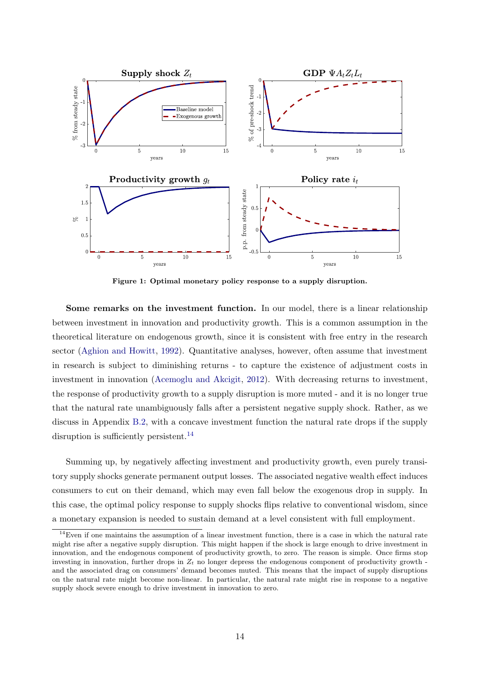<span id="page-14-0"></span>

Figure 1: Optimal monetary policy response to a supply disruption.

Some remarks on the investment function. In our model, there is a linear relationship between investment in innovation and productivity growth. This is a common assumption in the theoretical literature on endogenous growth, since it is consistent with free entry in the research sector [\(Aghion and Howitt,](#page-44-0) [1992\)](#page-44-0). Quantitative analyses, however, often assume that investment in research is subject to diminishing returns - to capture the existence of adjustment costs in investment in innovation [\(Acemoglu and Akcigit,](#page-44-6) [2012\)](#page-44-6). With decreasing returns to investment, the response of productivity growth to a supply disruption is more muted - and it is no longer true that the natural rate unambiguously falls after a persistent negative supply shock. Rather, as we discuss in Appendix [B.2,](#page-30-2) with a concave investment function the natural rate drops if the supply disruption is sufficiently persistent.<sup>[14](#page-14-1)</sup>

Summing up, by negatively affecting investment and productivity growth, even purely transitory supply shocks generate permanent output losses. The associated negative wealth effect induces consumers to cut on their demand, which may even fall below the exogenous drop in supply. In this case, the optimal policy response to supply shocks flips relative to conventional wisdom, since a monetary expansion is needed to sustain demand at a level consistent with full employment.

<span id="page-14-1"></span> $14$ Even if one maintains the assumption of a linear investment function, there is a case in which the natural rate might rise after a negative supply disruption. This might happen if the shock is large enough to drive investment in innovation, and the endogenous component of productivity growth, to zero. The reason is simple. Once firms stop investing in innovation, further drops in  $Z_t$  no longer depress the endogenous component of productivity growth and the associated drag on consumers' demand becomes muted. This means that the impact of supply disruptions on the natural rate might become non-linear. In particular, the natural rate might rise in response to a negative supply shock severe enough to drive investment in innovation to zero.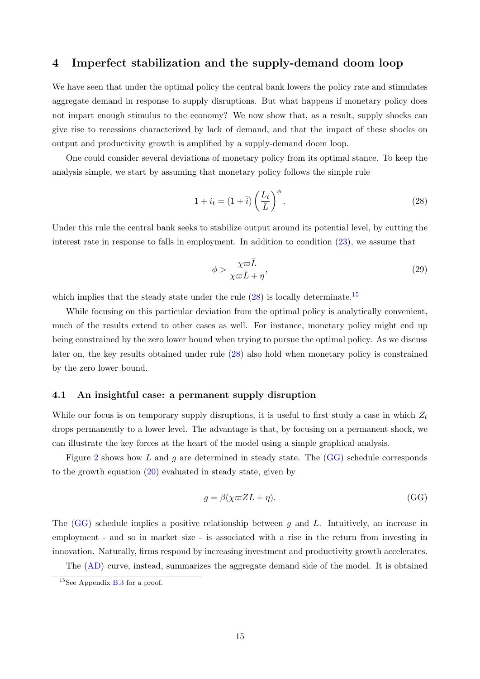## <span id="page-15-0"></span>4 Imperfect stabilization and the supply-demand doom loop

We have seen that under the optimal policy the central bank lowers the policy rate and stimulates aggregate demand in response to supply disruptions. But what happens if monetary policy does not impart enough stimulus to the economy? We now show that, as a result, supply shocks can give rise to recessions characterized by lack of demand, and that the impact of these shocks on output and productivity growth is amplified by a supply-demand doom loop.

One could consider several deviations of monetary policy from its optimal stance. To keep the analysis simple, we start by assuming that monetary policy follows the simple rule

<span id="page-15-1"></span>
$$
1 + i_t = (1 + \bar{i}) \left(\frac{L_t}{\bar{L}}\right)^{\phi}.
$$
\n(28)

Under this rule the central bank seeks to stabilize output around its potential level, by cutting the interest rate in response to falls in employment. In addition to condition [\(23\)](#page-10-3), we assume that

<span id="page-15-4"></span>
$$
\phi > \frac{\chi \varpi \bar{L}}{\chi \varpi \bar{L} + \eta},\tag{29}
$$

which implies that the steady state under the rule  $(28)$  is locally determinate.<sup>[15](#page-15-2)</sup>

While focusing on this particular deviation from the optimal policy is analytically convenient, much of the results extend to other cases as well. For instance, monetary policy might end up being constrained by the zero lower bound when trying to pursue the optimal policy. As we discuss later on, the key results obtained under rule [\(28\)](#page-15-1) also hold when monetary policy is constrained by the zero lower bound.

### 4.1 An insightful case: a permanent supply disruption

While our focus is on temporary supply disruptions, it is useful to first study a case in which  $Z_t$ drops permanently to a lower level. The advantage is that, by focusing on a permanent shock, we can illustrate the key forces at the heart of the model using a simple graphical analysis.

Figure [2](#page-16-0) shows how  $L$  and  $g$  are determined in steady state. The  $(GG)$  schedule corresponds to the growth equation [\(20\)](#page-9-1) evaluated in steady state, given by

<span id="page-15-3"></span>
$$
g = \beta(\chi \varpi Z L + \eta). \tag{GG}
$$

The [\(GG\)](#page-15-3) schedule implies a positive relationship between g and L. Intuitively, an increase in employment - and so in market size - is associated with a rise in the return from investing in innovation. Naturally, firms respond by increasing investment and productivity growth accelerates.

The [\(AD\)](#page-16-1) curve, instead, summarizes the aggregate demand side of the model. It is obtained

<span id="page-15-2"></span><sup>&</sup>lt;sup>15</sup>See Appendix [B.3](#page-33-0) for a proof.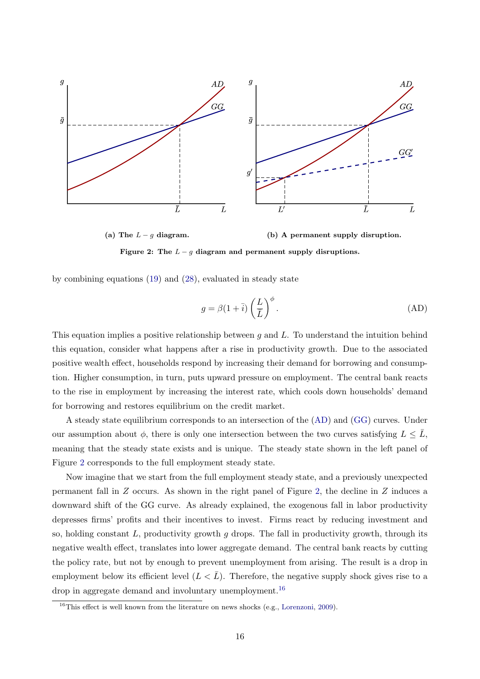<span id="page-16-0"></span>

Figure 2: The  $L - g$  diagram and permanent supply disruptions.

(a) The  $L-g$  diagram. (b) A permanent supply disruption.

by combining equations [\(19\)](#page-9-0) and [\(28\)](#page-15-1), evaluated in steady state

<span id="page-16-1"></span>
$$
g = \beta (1 + \bar{i}) \left(\frac{L}{\bar{L}}\right)^{\phi}.
$$
 (AD)

This equation implies a positive relationship between  $g$  and  $L$ . To understand the intuition behind this equation, consider what happens after a rise in productivity growth. Due to the associated positive wealth effect, households respond by increasing their demand for borrowing and consumption. Higher consumption, in turn, puts upward pressure on employment. The central bank reacts to the rise in employment by increasing the interest rate, which cools down households' demand for borrowing and restores equilibrium on the credit market.

A steady state equilibrium corresponds to an intersection of the [\(AD\)](#page-16-1) and [\(GG\)](#page-15-3) curves. Under our assumption about  $\phi$ , there is only one intersection between the two curves satisfying  $L \leq L$ , meaning that the steady state exists and is unique. The steady state shown in the left panel of Figure [2](#page-16-0) corresponds to the full employment steady state.

Now imagine that we start from the full employment steady state, and a previously unexpected permanent fall in Z occurs. As shown in the right panel of Figure [2,](#page-16-0) the decline in Z induces a downward shift of the GG curve. As already explained, the exogenous fall in labor productivity depresses firms' profits and their incentives to invest. Firms react by reducing investment and so, holding constant  $L$ , productivity growth g drops. The fall in productivity growth, through its negative wealth effect, translates into lower aggregate demand. The central bank reacts by cutting the policy rate, but not by enough to prevent unemployment from arising. The result is a drop in employment below its efficient level  $(L < \bar{L})$ . Therefore, the negative supply shock gives rise to a drop in aggregate demand and involuntary unemployment.  $^{16}$  $^{16}$  $^{16}$ 

<span id="page-16-2"></span><sup>&</sup>lt;sup>16</sup>This effect is well known from the literature on news shocks (e.g., [Lorenzoni,](#page-46-14) [2009\)](#page-46-14).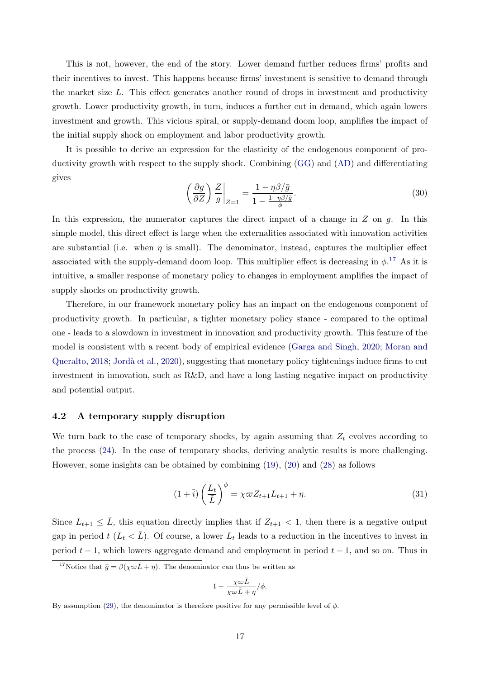This is not, however, the end of the story. Lower demand further reduces firms' profits and their incentives to invest. This happens because firms' investment is sensitive to demand through the market size L. This effect generates another round of drops in investment and productivity growth. Lower productivity growth, in turn, induces a further cut in demand, which again lowers investment and growth. This vicious spiral, or supply-demand doom loop, amplifies the impact of the initial supply shock on employment and labor productivity growth.

It is possible to derive an expression for the elasticity of the endogenous component of productivity growth with respect to the supply shock. Combining [\(GG\)](#page-15-3) and [\(AD\)](#page-16-1) and differentiating gives

$$
\left(\frac{\partial g}{\partial Z}\right)\frac{Z}{g}\bigg|_{Z=1} = \frac{1 - \eta\beta/\bar{g}}{1 - \frac{1 - \eta\beta/\bar{g}}{\phi}}.\tag{30}
$$

In this expression, the numerator captures the direct impact of a change in  $Z$  on  $g$ . In this simple model, this direct effect is large when the externalities associated with innovation activities are substantial (i.e. when  $\eta$  is small). The denominator, instead, captures the multiplier effect associated with the supply-demand doom loop. This multiplier effect is decreasing in  $\phi$ .<sup>[17](#page-17-0)</sup> As it is intuitive, a smaller response of monetary policy to changes in employment amplifies the impact of supply shocks on productivity growth.

Therefore, in our framework monetary policy has an impact on the endogenous component of productivity growth. In particular, a tighter monetary policy stance - compared to the optimal one - leads to a slowdown in investment in innovation and productivity growth. This feature of the model is consistent with a recent body of empirical evidence [\(Garga and Singh,](#page-46-1) [2020;](#page-46-1) [Moran and](#page-46-2) [Queralto,](#page-46-2) [2018;](#page-46-2) [Jord`a et al.,](#page-46-3) [2020\)](#page-46-3), suggesting that monetary policy tightenings induce firms to cut investment in innovation, such as  $R\&D$ , and have a long lasting negative impact on productivity and potential output.

### 4.2 A temporary supply disruption

We turn back to the case of temporary shocks, by again assuming that  $Z_t$  evolves according to the process [\(24\)](#page-12-1). In the case of temporary shocks, deriving analytic results is more challenging. However, some insights can be obtained by combining [\(19\)](#page-9-0), [\(20\)](#page-9-1) and [\(28\)](#page-15-1) as follows

$$
(1+\overline{i})\left(\frac{L_t}{\overline{L}}\right)^{\phi} = \chi \varpi Z_{t+1} L_{t+1} + \eta.
$$
\n(31)

Since  $L_{t+1} \leq \bar{L}$ , this equation directly implies that if  $Z_{t+1} < 1$ , then there is a negative output gap in period  $t (L_t < \bar{L})$ . Of course, a lower  $L_t$  leads to a reduction in the incentives to invest in period  $t - 1$ , which lowers aggregate demand and employment in period  $t - 1$ , and so on. Thus in

$$
1 - \frac{\chi \varpi \bar{L}}{\chi \varpi \bar{L} + \eta} / \phi.
$$

<span id="page-17-0"></span><sup>&</sup>lt;sup>17</sup>Notice that  $\bar{g} = \beta(\chi \bar{\omega} \bar{L} + \eta)$ . The denominator can thus be written as

By assumption [\(29\)](#page-15-4), the denominator is therefore positive for any permissible level of  $\phi$ .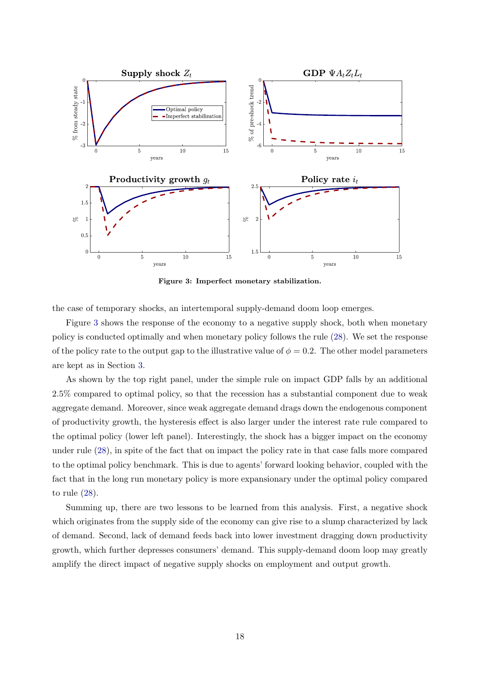<span id="page-18-0"></span>

Figure 3: Imperfect monetary stabilization.

the case of temporary shocks, an intertemporal supply-demand doom loop emerges.

Figure [3](#page-18-0) shows the response of the economy to a negative supply shock, both when monetary policy is conducted optimally and when monetary policy follows the rule [\(28\)](#page-15-1). We set the response of the policy rate to the output gap to the illustrative value of  $\phi = 0.2$ . The other model parameters are kept as in Section [3.](#page-11-0)

As shown by the top right panel, under the simple rule on impact GDP falls by an additional 2.5% compared to optimal policy, so that the recession has a substantial component due to weak aggregate demand. Moreover, since weak aggregate demand drags down the endogenous component of productivity growth, the hysteresis effect is also larger under the interest rate rule compared to the optimal policy (lower left panel). Interestingly, the shock has a bigger impact on the economy under rule [\(28\)](#page-15-1), in spite of the fact that on impact the policy rate in that case falls more compared to the optimal policy benchmark. This is due to agents' forward looking behavior, coupled with the fact that in the long run monetary policy is more expansionary under the optimal policy compared to rule [\(28\)](#page-15-1).

Summing up, there are two lessons to be learned from this analysis. First, a negative shock which originates from the supply side of the economy can give rise to a slump characterized by lack of demand. Second, lack of demand feeds back into lower investment dragging down productivity growth, which further depresses consumers' demand. This supply-demand doom loop may greatly amplify the direct impact of negative supply shocks on employment and output growth.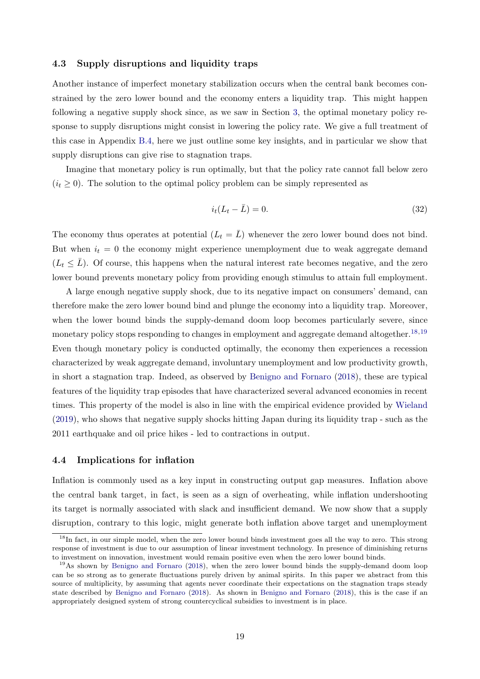### 4.3 Supply disruptions and liquidity traps

Another instance of imperfect monetary stabilization occurs when the central bank becomes constrained by the zero lower bound and the economy enters a liquidity trap. This might happen following a negative supply shock since, as we saw in Section [3,](#page-11-0) the optimal monetary policy response to supply disruptions might consist in lowering the policy rate. We give a full treatment of this case in Appendix [B.4,](#page-34-0) here we just outline some key insights, and in particular we show that supply disruptions can give rise to stagnation traps.

Imagine that monetary policy is run optimally, but that the policy rate cannot fall below zero  $(i_t \geq 0)$ . The solution to the optimal policy problem can be simply represented as

$$
i_t(L_t - \bar{L}) = 0. \tag{32}
$$

The economy thus operates at potential  $(L_t = \bar{L})$  whenever the zero lower bound does not bind. But when  $i_t = 0$  the economy might experience unemployment due to weak aggregate demand  $(L_t \leq \bar{L})$ . Of course, this happens when the natural interest rate becomes negative, and the zero lower bound prevents monetary policy from providing enough stimulus to attain full employment.

A large enough negative supply shock, due to its negative impact on consumers' demand, can therefore make the zero lower bound bind and plunge the economy into a liquidity trap. Moreover, when the lower bound binds the supply-demand doom loop becomes particularly severe, since monetary policy stops responding to changes in employment and aggregate demand altogether.<sup>[18,](#page-19-1)[19](#page-19-2)</sup> Even though monetary policy is conducted optimally, the economy then experiences a recession characterized by weak aggregate demand, involuntary unemployment and low productivity growth, in short a stagnation trap. Indeed, as observed by [Benigno and Fornaro](#page-44-2) [\(2018\)](#page-44-2), these are typical features of the liquidity trap episodes that have characterized several advanced economies in recent times. This property of the model is also in line with the empirical evidence provided by [Wieland](#page-46-4) [\(2019\)](#page-46-4), who shows that negative supply shocks hitting Japan during its liquidity trap - such as the 2011 earthquake and oil price hikes - led to contractions in output.

### <span id="page-19-0"></span>4.4 Implications for inflation

Inflation is commonly used as a key input in constructing output gap measures. Inflation above the central bank target, in fact, is seen as a sign of overheating, while inflation undershooting its target is normally associated with slack and insufficient demand. We now show that a supply disruption, contrary to this logic, might generate both inflation above target and unemployment

<span id="page-19-1"></span><sup>&</sup>lt;sup>18</sup>In fact, in our simple model, when the zero lower bound binds investment goes all the way to zero. This strong response of investment is due to our assumption of linear investment technology. In presence of diminishing returns to investment on innovation, investment would remain positive even when the zero lower bound binds.

<span id="page-19-2"></span><sup>&</sup>lt;sup>19</sup>As shown by [Benigno and Fornaro](#page-44-2) [\(2018\)](#page-44-2), when the zero lower bound binds the supply-demand doom loop can be so strong as to generate fluctuations purely driven by animal spirits. In this paper we abstract from this source of multiplicity, by assuming that agents never coordinate their expectations on the stagnation traps steady state described by [Benigno and Fornaro](#page-44-2) [\(2018\)](#page-44-2). As shown in [Benigno and Fornaro](#page-44-2) [\(2018\)](#page-44-2), this is the case if an appropriately designed system of strong countercyclical subsidies to investment is in place.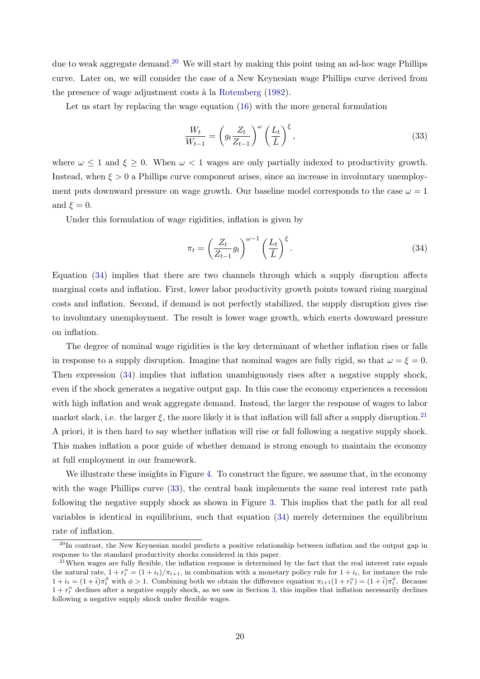due to weak aggregate demand.<sup>[20](#page-20-0)</sup> We will start by making this point using an ad-hoc wage Phillips curve. Later on, we will consider the case of a New Keynesian wage Phillips curve derived from the presence of wage adjustment costs à la [Rotemberg](#page-46-9) [\(1982\)](#page-46-9).

Let us start by replacing the wage equation [\(16\)](#page-8-1) with the more general formulation

<span id="page-20-3"></span>
$$
\frac{W_t}{W_{t-1}} = \left(g_t \frac{Z_t}{Z_{t-1}}\right)^{\omega} \left(\frac{L_t}{\bar{L}}\right)^{\xi},\tag{33}
$$

where  $\omega \leq 1$  and  $\xi \geq 0$ . When  $\omega < 1$  wages are only partially indexed to productivity growth. Instead, when  $\xi > 0$  a Phillips curve component arises, since an increase in involuntary unemployment puts downward pressure on wage growth. Our baseline model corresponds to the case  $\omega = 1$ and  $\xi = 0$ .

Under this formulation of wage rigidities, inflation is given by

<span id="page-20-1"></span>
$$
\pi_t = \left(\frac{Z_t}{Z_{t-1}} g_t\right)^{\omega - 1} \left(\frac{L_t}{\bar{L}}\right)^{\xi}.
$$
\n(34)

Equation [\(34\)](#page-20-1) implies that there are two channels through which a supply disruption affects marginal costs and inflation. First, lower labor productivity growth points toward rising marginal costs and inflation. Second, if demand is not perfectly stabilized, the supply disruption gives rise to involuntary unemployment. The result is lower wage growth, which exerts downward pressure on inflation.

The degree of nominal wage rigidities is the key determinant of whether inflation rises or falls in response to a supply disruption. Imagine that nominal wages are fully rigid, so that  $\omega = \xi = 0$ . Then expression [\(34\)](#page-20-1) implies that inflation unambiguously rises after a negative supply shock, even if the shock generates a negative output gap. In this case the economy experiences a recession with high inflation and weak aggregate demand. Instead, the larger the response of wages to labor market slack, i.e. the larger  $\xi$ , the more likely it is that inflation will fall after a supply disruption.<sup>[21](#page-20-2)</sup> A priori, it is then hard to say whether inflation will rise or fall following a negative supply shock. This makes inflation a poor guide of whether demand is strong enough to maintain the economy at full employment in our framework.

We illustrate these insights in Figure [4.](#page-21-0) To construct the figure, we assume that, in the economy with the wage Phillips curve  $(33)$ , the central bank implements the same real interest rate path following the negative supply shock as shown in Figure [3.](#page-18-0) This implies that the path for all real variables is identical in equilibrium, such that equation [\(34\)](#page-20-1) merely determines the equilibrium rate of inflation.

<span id="page-20-0"></span><sup>&</sup>lt;sup>20</sup>In contrast, the New Keynesian model predicts a positive relationship between inflation and the output gap in response to the standard productivity shocks considered in this paper.

<span id="page-20-2"></span><sup>&</sup>lt;sup>21</sup>When wages are fully flexible, the inflation response is determined by the fact that the real interest rate equals the natural rate,  $1 + r_t^n = (1 + i_t)/\pi_{t+1}$ , in combination with a monetary policy rule for  $1 + i_t$ , for instance the rule  $1 + i_t = (1 + \overline{i})\pi_t^{\phi}$  with  $\phi > 1$ . Combining both we obtain the difference equation  $\pi_{t+1}(1 + r_t^n) = (1 + \overline{i})\pi_t^{\phi}$ . Because  $1 + r_t^n$  declines after a negative supply shock, as we saw in Section [3,](#page-11-0) this implies that inflation necessarily declines following a negative supply shock under flexible wages.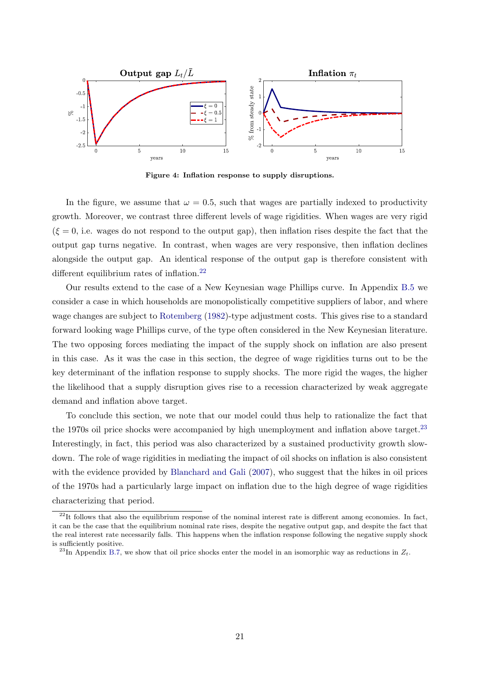<span id="page-21-0"></span>

Figure 4: Inflation response to supply disruptions.

In the figure, we assume that  $\omega = 0.5$ , such that wages are partially indexed to productivity growth. Moreover, we contrast three different levels of wage rigidities. When wages are very rigid  $(\xi = 0, i.e.$  wages do not respond to the output gap), then inflation rises despite the fact that the output gap turns negative. In contrast, when wages are very responsive, then inflation declines alongside the output gap. An identical response of the output gap is therefore consistent with different equilibrium rates of inflation.<sup>[22](#page-21-1)</sup>

Our results extend to the case of a New Keynesian wage Phillips curve. In Appendix [B.5](#page-36-0) we consider a case in which households are monopolistically competitive suppliers of labor, and where wage changes are subject to [Rotemberg](#page-46-9) [\(1982\)](#page-46-9)-type adjustment costs. This gives rise to a standard forward looking wage Phillips curve, of the type often considered in the New Keynesian literature. The two opposing forces mediating the impact of the supply shock on inflation are also present in this case. As it was the case in this section, the degree of wage rigidities turns out to be the key determinant of the inflation response to supply shocks. The more rigid the wages, the higher the likelihood that a supply disruption gives rise to a recession characterized by weak aggregate demand and inflation above target.

To conclude this section, we note that our model could thus help to rationalize the fact that the 1970s oil price shocks were accompanied by high unemployment and inflation above target.<sup>[23](#page-21-2)</sup> Interestingly, in fact, this period was also characterized by a sustained productivity growth slowdown. The role of wage rigidities in mediating the impact of oil shocks on inflation is also consistent with the evidence provided by [Blanchard and Gali](#page-45-2) [\(2007\)](#page-45-2), who suggest that the hikes in oil prices of the 1970s had a particularly large impact on inflation due to the high degree of wage rigidities characterizing that period.

<span id="page-21-1"></span> $^{22}$ It follows that also the equilibrium response of the nominal interest rate is different among economies. In fact, it can be the case that the equilibrium nominal rate rises, despite the negative output gap, and despite the fact that the real interest rate necessarily falls. This happens when the inflation response following the negative supply shock is sufficiently positive.

<span id="page-21-2"></span><sup>&</sup>lt;sup>23</sup>In Appendix [B.7,](#page-43-0) we show that oil price shocks enter the model in an isomorphic way as reductions in  $Z_t$ .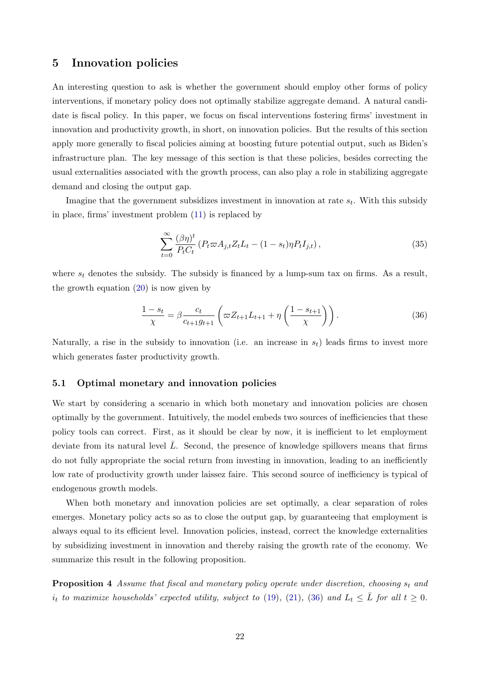## <span id="page-22-0"></span>5 Innovation policies

An interesting question to ask is whether the government should employ other forms of policy interventions, if monetary policy does not optimally stabilize aggregate demand. A natural candidate is fiscal policy. In this paper, we focus on fiscal interventions fostering firms' investment in innovation and productivity growth, in short, on innovation policies. But the results of this section apply more generally to fiscal policies aiming at boosting future potential output, such as Biden's infrastructure plan. The key message of this section is that these policies, besides correcting the usual externalities associated with the growth process, can also play a role in stabilizing aggregate demand and closing the output gap.

Imagine that the government subsidizes investment in innovation at rate  $s_t$ . With this subsidy in place, firms' investment problem [\(11\)](#page-7-5) is replaced by

$$
\sum_{t=0}^{\infty} \frac{(\beta \eta)^t}{P_t C_t} \left( P_t \varpi A_{j,t} Z_t L_t - (1 - s_t) \eta P_t I_{j,t} \right),\tag{35}
$$

where  $s_t$  denotes the subsidy. The subsidy is financed by a lump-sum tax on firms. As a result, the growth equation [\(20\)](#page-9-1) is now given by

<span id="page-22-1"></span>
$$
\frac{1 - s_t}{\chi} = \beta \frac{c_t}{c_{t+1} g_{t+1}} \left( \varpi Z_{t+1} L_{t+1} + \eta \left( \frac{1 - s_{t+1}}{\chi} \right) \right). \tag{36}
$$

Naturally, a rise in the subsidy to innovation (i.e. an increase in  $s_t$ ) leads firms to invest more which generates faster productivity growth.

### 5.1 Optimal monetary and innovation policies

We start by considering a scenario in which both monetary and innovation policies are chosen optimally by the government. Intuitively, the model embeds two sources of inefficiencies that these policy tools can correct. First, as it should be clear by now, it is inefficient to let employment deviate from its natural level  $\bar{L}$ . Second, the presence of knowledge spillovers means that firms do not fully appropriate the social return from investing in innovation, leading to an inefficiently low rate of productivity growth under laissez faire. This second source of inefficiency is typical of endogenous growth models.

When both monetary and innovation policies are set optimally, a clear separation of roles emerges. Monetary policy acts so as to close the output gap, by guaranteeing that employment is always equal to its efficient level. Innovation policies, instead, correct the knowledge externalities by subsidizing investment in innovation and thereby raising the growth rate of the economy. We summarize this result in the following proposition.

<span id="page-22-2"></span>**Proposition 4** Assume that fiscal and monetary policy operate under discretion, choosing  $s_t$  and  $i_t$  to maximize households' expected utility, subject to [\(19\)](#page-9-0), [\(21\)](#page-10-1), [\(36\)](#page-22-1) and  $L_t \leq \overline{L}$  for all  $t \geq 0$ .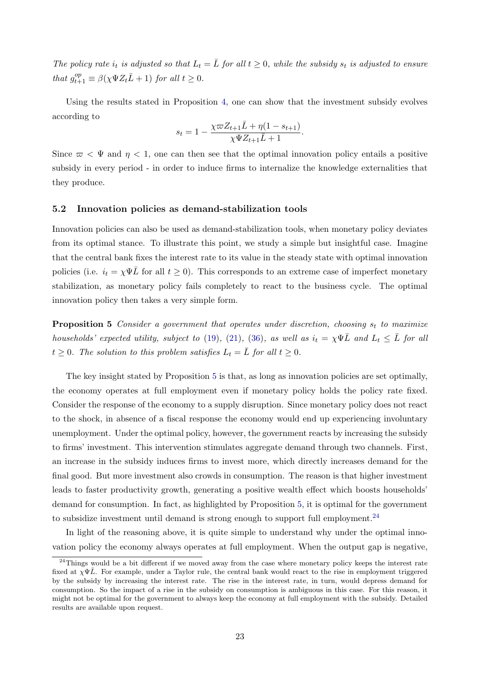The policy rate  $i_t$  is adjusted so that  $L_t = \overline{L}$  for all  $t \geq 0$ , while the subsidy  $s_t$  is adjusted to ensure that  $g_{t+1}^{op} \equiv \beta(\chi \Psi Z_t \bar{L} + 1)$  for all  $t \geq 0$ .

Using the results stated in Proposition [4,](#page-22-2) one can show that the investment subsidy evolves according to

$$
s_t = 1 - \frac{\chi \varpi Z_{t+1} \bar{L} + \eta (1 - s_{t+1})}{\chi \Psi Z_{t+1} \bar{L} + 1}.
$$

Since  $\varpi < \Psi$  and  $\eta < 1$ , one can then see that the optimal innovation policy entails a positive subsidy in every period - in order to induce firms to internalize the knowledge externalities that they produce.

### <span id="page-23-2"></span>5.2 Innovation policies as demand-stabilization tools

Innovation policies can also be used as demand-stabilization tools, when monetary policy deviates from its optimal stance. To illustrate this point, we study a simple but insightful case. Imagine that the central bank fixes the interest rate to its value in the steady state with optimal innovation policies (i.e.  $i_t = \chi \Psi \overline{L}$  for all  $t \geq 0$ ). This corresponds to an extreme case of imperfect monetary stabilization, as monetary policy fails completely to react to the business cycle. The optimal innovation policy then takes a very simple form.

<span id="page-23-0"></span>**Proposition 5** Consider a government that operates under discretion, choosing  $s_t$  to maximize households' expected utility, subject to [\(19\)](#page-9-0), [\(21\)](#page-10-1), [\(36\)](#page-22-1), as well as  $i_t = \chi \Psi \overline{L}$  and  $L_t \leq \overline{L}$  for all  $t \geq 0$ . The solution to this problem satisfies  $L_t = \overline{L}$  for all  $t \geq 0$ .

The key insight stated by Proposition [5](#page-23-0) is that, as long as innovation policies are set optimally, the economy operates at full employment even if monetary policy holds the policy rate fixed. Consider the response of the economy to a supply disruption. Since monetary policy does not react to the shock, in absence of a fiscal response the economy would end up experiencing involuntary unemployment. Under the optimal policy, however, the government reacts by increasing the subsidy to firms' investment. This intervention stimulates aggregate demand through two channels. First, an increase in the subsidy induces firms to invest more, which directly increases demand for the final good. But more investment also crowds in consumption. The reason is that higher investment leads to faster productivity growth, generating a positive wealth effect which boosts households' demand for consumption. In fact, as highlighted by Proposition [5,](#page-23-0) it is optimal for the government to subsidize investment until demand is strong enough to support full employment.<sup>[24](#page-23-1)</sup>

In light of the reasoning above, it is quite simple to understand why under the optimal innovation policy the economy always operates at full employment. When the output gap is negative,

<span id="page-23-1"></span> $^{24}$ Things would be a bit different if we moved away from the case where monetary policy keeps the interest rate fixed at  $\chi\Psi\bar{L}$ . For example, under a Taylor rule, the central bank would react to the rise in employment triggered by the subsidy by increasing the interest rate. The rise in the interest rate, in turn, would depress demand for consumption. So the impact of a rise in the subsidy on consumption is ambiguous in this case. For this reason, it might not be optimal for the government to always keep the economy at full employment with the subsidy. Detailed results are available upon request.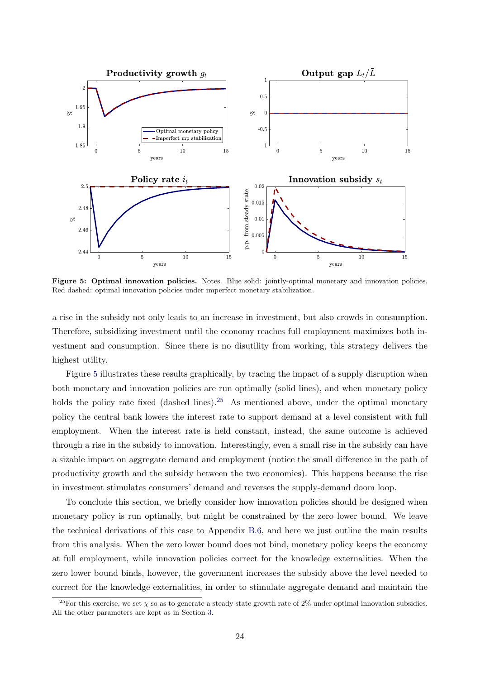<span id="page-24-0"></span>

Figure 5: Optimal innovation policies. Notes. Blue solid: jointly-optimal monetary and innovation policies. Red dashed: optimal innovation policies under imperfect monetary stabilization.

a rise in the subsidy not only leads to an increase in investment, but also crowds in consumption. Therefore, subsidizing investment until the economy reaches full employment maximizes both investment and consumption. Since there is no disutility from working, this strategy delivers the highest utility.

Figure [5](#page-24-0) illustrates these results graphically, by tracing the impact of a supply disruption when both monetary and innovation policies are run optimally (solid lines), and when monetary policy holds the policy rate fixed (dashed lines).<sup>[25](#page-24-1)</sup> As mentioned above, under the optimal monetary policy the central bank lowers the interest rate to support demand at a level consistent with full employment. When the interest rate is held constant, instead, the same outcome is achieved through a rise in the subsidy to innovation. Interestingly, even a small rise in the subsidy can have a sizable impact on aggregate demand and employment (notice the small difference in the path of productivity growth and the subsidy between the two economies). This happens because the rise in investment stimulates consumers' demand and reverses the supply-demand doom loop.

To conclude this section, we briefly consider how innovation policies should be designed when monetary policy is run optimally, but might be constrained by the zero lower bound. We leave the technical derivations of this case to Appendix [B.6,](#page-40-0) and here we just outline the main results from this analysis. When the zero lower bound does not bind, monetary policy keeps the economy at full employment, while innovation policies correct for the knowledge externalities. When the zero lower bound binds, however, the government increases the subsidy above the level needed to correct for the knowledge externalities, in order to stimulate aggregate demand and maintain the

<span id="page-24-1"></span><sup>&</sup>lt;sup>25</sup>For this exercise, we set  $\chi$  so as to generate a steady state growth rate of 2% under optimal innovation subsidies. All the other parameters are kept as in Section [3.](#page-11-0)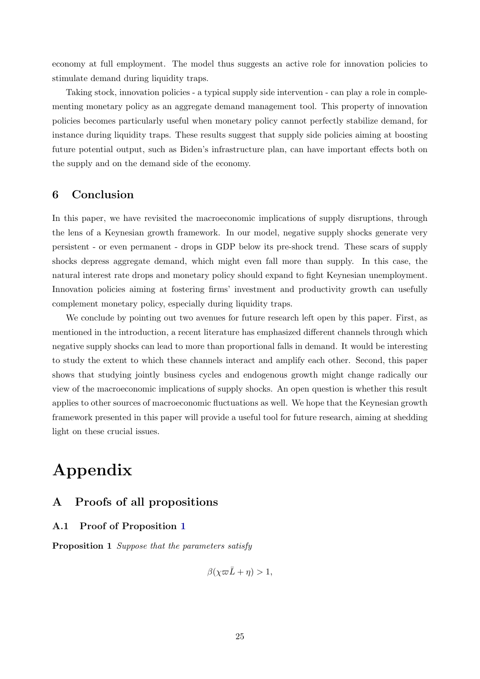economy at full employment. The model thus suggests an active role for innovation policies to stimulate demand during liquidity traps.

Taking stock, innovation policies - a typical supply side intervention - can play a role in complementing monetary policy as an aggregate demand management tool. This property of innovation policies becomes particularly useful when monetary policy cannot perfectly stabilize demand, for instance during liquidity traps. These results suggest that supply side policies aiming at boosting future potential output, such as Biden's infrastructure plan, can have important effects both on the supply and on the demand side of the economy.

## <span id="page-25-0"></span>6 Conclusion

In this paper, we have revisited the macroeconomic implications of supply disruptions, through the lens of a Keynesian growth framework. In our model, negative supply shocks generate very persistent - or even permanent - drops in GDP below its pre-shock trend. These scars of supply shocks depress aggregate demand, which might even fall more than supply. In this case, the natural interest rate drops and monetary policy should expand to fight Keynesian unemployment. Innovation policies aiming at fostering firms' investment and productivity growth can usefully complement monetary policy, especially during liquidity traps.

We conclude by pointing out two avenues for future research left open by this paper. First, as mentioned in the introduction, a recent literature has emphasized different channels through which negative supply shocks can lead to more than proportional falls in demand. It would be interesting to study the extent to which these channels interact and amplify each other. Second, this paper shows that studying jointly business cycles and endogenous growth might change radically our view of the macroeconomic implications of supply shocks. An open question is whether this result applies to other sources of macroeconomic fluctuations as well. We hope that the Keynesian growth framework presented in this paper will provide a useful tool for future research, aiming at shedding light on these crucial issues.

# Appendix

## <span id="page-25-1"></span>A Proofs of all propositions

## A.1 Proof of Proposition [1](#page-10-4)

Proposition 1 Suppose that the parameters satisfy

 $\beta(\chi \varpi \bar{L} + \eta) > 1$ ,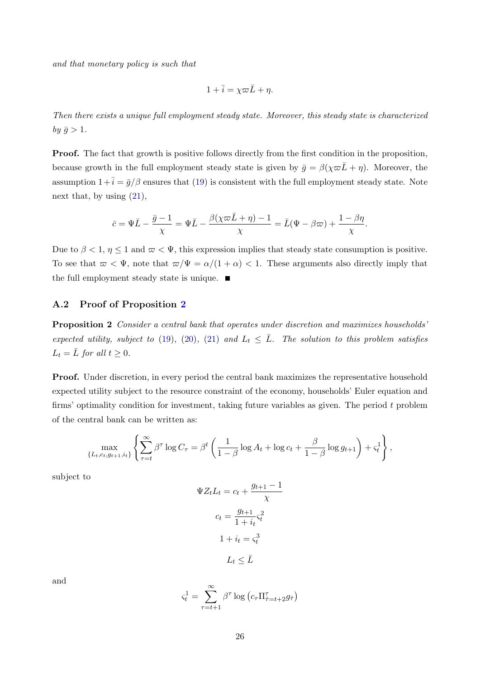and that monetary policy is such that

$$
1 + \overline{i} = \chi \varpi \overline{L} + \eta.
$$

Then there exists a unique full employment steady state. Moreover, this steady state is characterized by  $\bar{g} > 1$ .

Proof. The fact that growth is positive follows directly from the first condition in the proposition, because growth in the full employment steady state is given by  $\bar{g} = \beta(\chi \bar{\omega} \bar{L} + \eta)$ . Moreover, the assumption  $1+\overline{i} = \overline{g}/\beta$  ensures that [\(19\)](#page-9-0) is consistent with the full employment steady state. Note next that, by using [\(21\)](#page-10-1),

$$
\bar{c} = \Psi \bar{L} - \frac{\bar{g} - 1}{\chi} = \Psi \bar{L} - \frac{\beta(\chi \varpi \bar{L} + \eta) - 1}{\chi} = \bar{L}(\Psi - \beta \varpi) + \frac{1 - \beta \eta}{\chi}.
$$

Due to  $\beta < 1$ ,  $\eta \le 1$  and  $\varpi < \Psi$ , this expression implies that steady state consumption is positive. To see that  $\omega < \Psi$ , note that  $\omega/\Psi = \alpha/(1 + \alpha) < 1$ . These arguments also directly imply that the full employment steady state is unique.  $\blacksquare$ 

### <span id="page-26-0"></span>A.2 Proof of Proposition [2](#page-11-2)

Proposition 2 Consider a central bank that operates under discretion and maximizes households' expected utility, subject to [\(19\)](#page-9-0), [\(20\)](#page-9-1), [\(21\)](#page-10-1) and  $L_t \leq \overline{L}$ . The solution to this problem satisfies  $L_t = \overline{L}$  for all  $t \geq 0$ .

Proof. Under discretion, in every period the central bank maximizes the representative household expected utility subject to the resource constraint of the economy, households' Euler equation and firms' optimality condition for investment, taking future variables as given. The period t problem of the central bank can be written as:

$$
\max_{\{L_t, c_t, g_{t+1}, i_t\}} \left\{ \sum_{\tau=t}^{\infty} \beta^{\tau} \log C_{\tau} = \beta^t \left( \frac{1}{1-\beta} \log A_t + \log c_t + \frac{\beta}{1-\beta} \log g_{t+1} \right) + \varsigma_t^1 \right\},\,
$$

subject to

$$
\Psi Z_t L_t = c_t + \frac{g_{t+1} - 1}{\chi}
$$

$$
c_t = \frac{g_{t+1}}{1 + i_t} \varsigma_t^2
$$

$$
1 + i_t = \varsigma_t^3
$$

$$
L_t \le \bar{L}
$$

and

$$
\varsigma_t^1 = \sum_{\tau=t+1}^{\infty} \beta^{\tau} \log \left( c_{\tau} \Pi_{\hat{\tau}=t+2}^{\tau} g_{\hat{\tau}} \right)
$$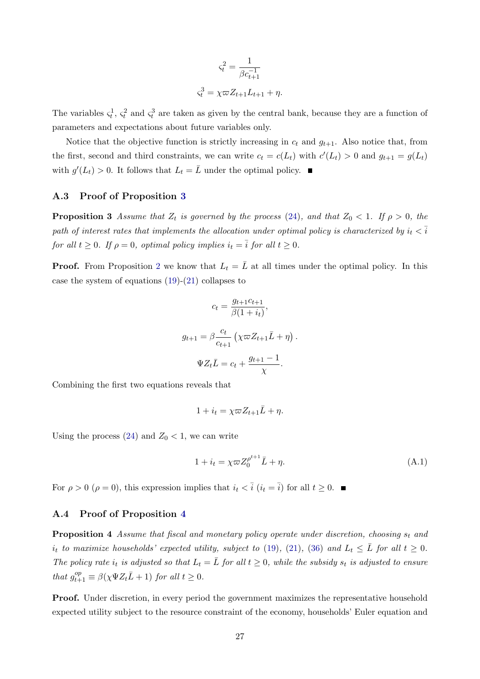$$
\varsigma_t^2 = \frac{1}{\beta c_{t+1}^{-1}}
$$

$$
\varsigma_t^3 = \chi \varpi Z_{t+1} L_{t+1} + \eta.
$$

The variables  $\zeta_t^1$ ,  $\zeta_t^2$  and  $\zeta_t^3$  are taken as given by the central bank, because they are a function of parameters and expectations about future variables only.

Notice that the objective function is strictly increasing in  $c_t$  and  $g_{t+1}$ . Also notice that, from the first, second and third constraints, we can write  $c_t = c(L_t)$  with  $c'(L_t) > 0$  and  $g_{t+1} = g(L_t)$ with  $g'(L_t) > 0$ . It follows that  $L_t = \overline{L}$  under the optimal policy.

### A.3 Proof of Proposition [3](#page-12-2)

**Proposition 3** Assume that  $Z_t$  is governed by the process [\(24\)](#page-12-1), and that  $Z_0 < 1$ . If  $\rho > 0$ , the path of interest rates that implements the allocation under optimal policy is characterized by  $i_t < \overline{i}$ for all  $t \geq 0$ . If  $\rho = 0$ , optimal policy implies  $i_t = \overline{i}$  for all  $t \geq 0$ .

**Proof.** From Proposition [2](#page-11-2) we know that  $L_t = \overline{L}$  at all times under the optimal policy. In this case the system of equations [\(19\)](#page-9-0)-[\(21\)](#page-10-1) collapses to

$$
c_t = \frac{g_{t+1}c_{t+1}}{\beta(1+i_t)},
$$

$$
g_{t+1} = \beta \frac{c_t}{c_{t+1}} \left(\chi \varpi Z_{t+1}\bar{L} + \eta\right).
$$

$$
\Psi Z_t \bar{L} = c_t + \frac{g_{t+1} - 1}{\chi}.
$$

Combining the first two equations reveals that

$$
1 + i_t = \chi \varpi Z_{t+1} \bar{L} + \eta.
$$

Using the process  $(24)$  and  $Z_0 < 1$ , we can write

$$
1 + i_t = \chi \varpi Z_0^{\rho^{t+1}} \bar{L} + \eta. \tag{A.1}
$$

For  $\rho > 0$   $(\rho = 0)$ , this expression implies that  $i_t < \overline{i}$   $(i_t = \overline{i})$  for all  $t \geq 0$ .

### A.4 Proof of Proposition [4](#page-22-2)

**Proposition 4** Assume that fiscal and monetary policy operate under discretion, choosing  $s_t$  and  $i_t$  to maximize households' expected utility, subject to [\(19\)](#page-9-0), [\(21\)](#page-10-1), [\(36\)](#page-22-1) and  $L_t \leq \overline{L}$  for all  $t \geq 0$ . The policy rate  $i_t$  is adjusted so that  $L_t = \overline{L}$  for all  $t \geq 0$ , while the subsidy  $s_t$  is adjusted to ensure that  $g_{t+1}^{op} \equiv \beta(\chi \Psi Z_t \bar{L} + 1)$  for all  $t \geq 0$ .

Proof. Under discretion, in every period the government maximizes the representative household expected utility subject to the resource constraint of the economy, households' Euler equation and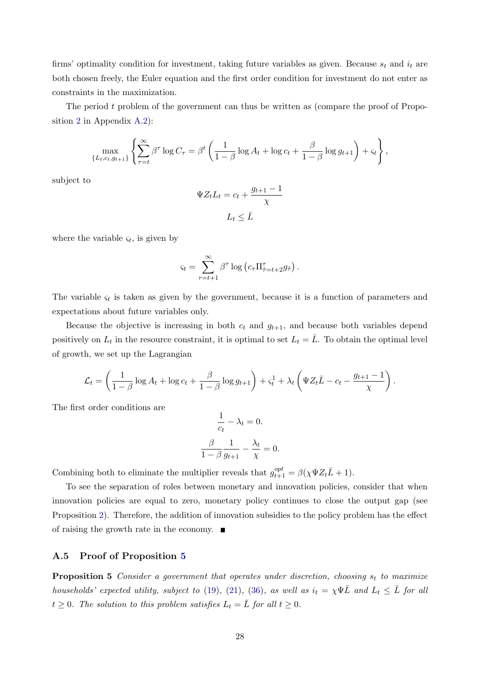firms' optimality condition for investment, taking future variables as given. Because  $s_t$  and  $i_t$  are both chosen freely, the Euler equation and the first order condition for investment do not enter as constraints in the maximization.

The period  $t$  problem of the government can thus be written as (compare the proof of Proposition [2](#page-11-2) in Appendix [A.2\)](#page-26-0):

$$
\max_{\{L_t, c_t, g_{t+1}\}} \left\{ \sum_{\tau=t}^{\infty} \beta^{\tau} \log C_{\tau} = \beta^t \left( \frac{1}{1-\beta} \log A_t + \log c_t + \frac{\beta}{1-\beta} \log g_{t+1} \right) + \varsigma_t \right\},\,
$$

subject to

$$
\Psi Z_t L_t = c_t + \frac{g_{t+1} - 1}{\chi}
$$

$$
L_t \leq \bar{L}
$$

where the variable  $\varsigma_t$ , is given by

$$
\varsigma_t = \sum_{\tau=t+1}^{\infty} \beta^{\tau} \log \left( c_{\tau} \Pi_{\hat{\tau}=t+2}^{\tau} g_{\hat{\tau}} \right).
$$

The variable  $\varsigma_t$  is taken as given by the government, because it is a function of parameters and expectations about future variables only.

Because the objective is increasing in both  $c_t$  and  $g_{t+1}$ , and because both variables depend positively on  $L_t$  in the resource constraint, it is optimal to set  $L_t = \overline{L}$ . To obtain the optimal level of growth, we set up the Lagrangian

$$
\mathcal{L}_t = \left(\frac{1}{1-\beta}\log A_t + \log c_t + \frac{\beta}{1-\beta}\log g_{t+1}\right) + \varsigma_t^1 + \lambda_t \left(\Psi Z_t \bar{L} - c_t - \frac{g_{t+1}-1}{\chi}\right).
$$

The first order conditions are

$$
\frac{1}{c_t} - \lambda_t = 0.
$$

$$
\frac{\beta}{1 - \beta} \frac{1}{g_{t+1}} - \frac{\lambda_t}{\chi} = 0.
$$

Combining both to eliminate the multiplier reveals that  $g_{t+1}^{opt} = \beta(\chi \Psi Z_t \bar{L} + 1)$ .

To see the separation of roles between monetary and innovation policies, consider that when innovation policies are equal to zero, monetary policy continues to close the output gap (see Proposition [2\)](#page-11-2). Therefore, the addition of innovation subsidies to the policy problem has the effect of raising the growth rate in the economy.  $\blacksquare$ 

### A.5 Proof of Proposition [5](#page-23-0)

**Proposition 5** Consider a government that operates under discretion, choosing  $s_t$  to maximize households' expected utility, subject to [\(19\)](#page-9-0), [\(21\)](#page-10-1), [\(36\)](#page-22-1), as well as  $i_t = \chi \Psi \overline{L}$  and  $L_t \leq \overline{L}$  for all  $t \geq 0$ . The solution to this problem satisfies  $L_t = \overline{L}$  for all  $t \geq 0$ .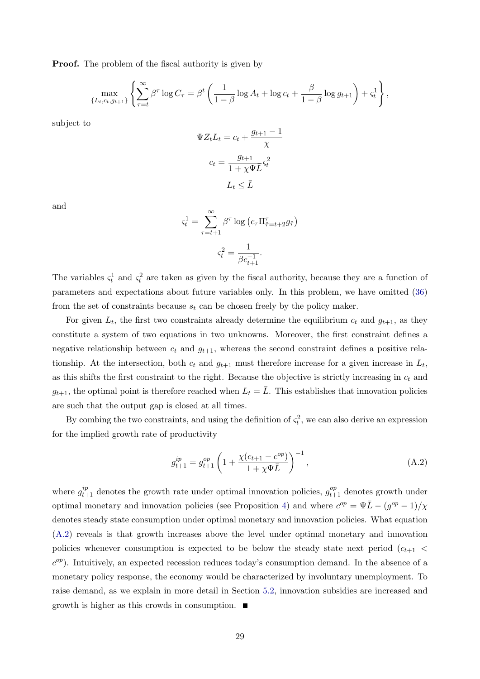**Proof.** The problem of the fiscal authority is given by

$$
\max_{\{L_t, c_t, g_{t+1}\}} \left\{ \sum_{\tau=t}^{\infty} \beta^{\tau} \log C_{\tau} = \beta^t \left( \frac{1}{1-\beta} \log A_t + \log c_t + \frac{\beta}{1-\beta} \log g_{t+1} \right) + \varsigma_t^1 \right\},\,
$$

subject to

$$
\Psi Z_t L_t = c_t + \frac{g_{t+1} - 1}{\chi}
$$

$$
c_t = \frac{g_{t+1}}{1 + \chi \Psi \bar{L}} \varsigma_t^2
$$

$$
L_t \leq \bar{L}
$$

and

$$
\varsigma_t^1 = \sum_{\tau=t+1}^{\infty} \beta^{\tau} \log \left( c_{\tau} \Pi_{\hat{\tau}=t+2}^{\tau} g_{\hat{\tau}} \right)
$$

$$
\varsigma_t^2 = \frac{1}{\beta c_{t+1}^{-1}}.
$$

The variables  $\zeta_t^1$  and  $\zeta_t^2$  are taken as given by the fiscal authority, because they are a function of parameters and expectations about future variables only. In this problem, we have omitted [\(36\)](#page-22-1) from the set of constraints because  $s_t$  can be chosen freely by the policy maker.

For given  $L_t$ , the first two constraints already determine the equilibrium  $c_t$  and  $g_{t+1}$ , as they constitute a system of two equations in two unknowns. Moreover, the first constraint defines a negative relationship between  $c_t$  and  $g_{t+1}$ , whereas the second constraint defines a positive relationship. At the intersection, both  $c_t$  and  $g_{t+1}$  must therefore increase for a given increase in  $L_t$ , as this shifts the first constraint to the right. Because the objective is strictly increasing in  $c_t$  and  $g_{t+1}$ , the optimal point is therefore reached when  $L_t = \overline{L}$ . This establishes that innovation policies are such that the output gap is closed at all times.

By combing the two constraints, and using the definition of  $\zeta_t^2$ , we can also derive an expression for the implied growth rate of productivity

<span id="page-29-0"></span>
$$
g_{t+1}^{ip} = g_{t+1}^{op} \left( 1 + \frac{\chi(c_{t+1} - c^{op})}{1 + \chi \Psi \bar{L}} \right)^{-1}, \tag{A.2}
$$

where  $g_{t+1}^{ip}$  denotes the growth rate under optimal innovation policies,  $g_{t+1}^{op}$  denotes growth under optimal monetary and innovation policies (see Proposition [4\)](#page-22-2) and where  $c^{op} = \Psi \overline{L} - (g^{op} - 1)/\chi$ denotes steady state consumption under optimal monetary and innovation policies. What equation [\(A.2\)](#page-29-0) reveals is that growth increases above the level under optimal monetary and innovation policies whenever consumption is expected to be below the steady state next period  $(c_{t+1}$  $c^{op}$ ). Intuitively, an expected recession reduces today's consumption demand. In the absence of a monetary policy response, the economy would be characterized by involuntary unemployment. To raise demand, as we explain in more detail in Section [5.2,](#page-23-2) innovation subsidies are increased and growth is higher as this crowds in consumption.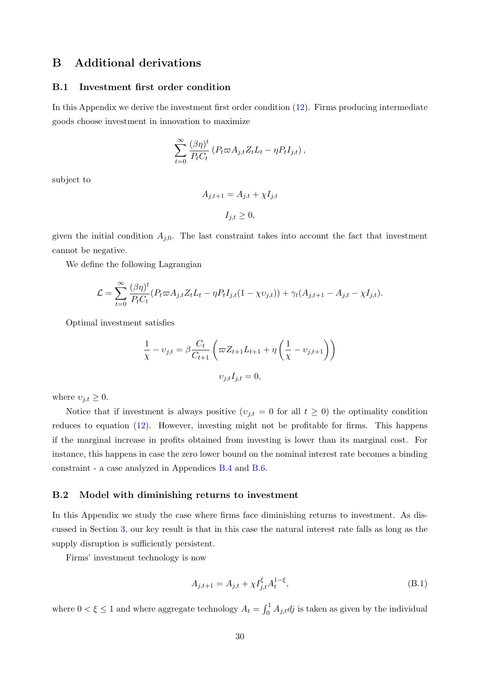## <span id="page-30-0"></span>B Additional derivations

### <span id="page-30-1"></span>B.1 Investment first order condition

In this Appendix we derive the investment first order condition [\(12\)](#page-7-2). Firms producing intermediate goods choose investment in innovation to maximize

$$
\sum_{t=0}^{\infty} \frac{(\beta \eta)^t}{P_t C_t} \left( P_t \varpi A_{j,t} Z_t L_t - \eta P_t I_{j,t} \right),
$$

subject to

$$
A_{j,t+1} = A_{j,t} + \chi I_{j,t}
$$

$$
I_{j,t} \ge 0,
$$

given the initial condition  $A_{j,0}$ . The last constraint takes into account the fact that investment cannot be negative.

We define the following Lagrangian

$$
\mathcal{L} = \sum_{t=0}^{\infty} \frac{(\beta \eta)^t}{P_t C_t} (P_t \varpi A_{j,t} Z_t L_t - \eta P_t I_{j,t} (1 - \chi v_{j,t})) + \gamma_t (A_{j,t+1} - A_{j,t} - \chi I_{j,t}).
$$

Optimal investment satisfies

$$
\frac{1}{\chi} - v_{j,t} = \beta \frac{C_t}{C_{t+1}} \left( \varpi Z_{t+1} L_{t+1} + \eta \left( \frac{1}{\chi} - v_{j,t+1} \right) \right)
$$

$$
v_{j,t} I_{j,t} = 0,
$$

where  $v_{j,t} \geq 0$ .

Notice that if investment is always positive  $(v_{j,t} = 0$  for all  $t \geq 0$ ) the optimality condition reduces to equation [\(12\)](#page-7-2). However, investing might not be profitable for firms. This happens if the marginal increase in profits obtained from investing is lower than its marginal cost. For instance, this happens in case the zero lower bound on the nominal interest rate becomes a binding constraint - a case analyzed in Appendices [B.4](#page-34-0) and [B.6.](#page-40-0)

### <span id="page-30-2"></span>B.2 Model with diminishing returns to investment

In this Appendix we study the case where firms face diminishing returns to investment. As discussed in Section [3,](#page-11-0) our key result is that in this case the natural interest rate falls as long as the supply disruption is sufficiently persistent.

Firms' investment technology is now

<span id="page-30-3"></span>
$$
A_{j,t+1} = A_{j,t} + \chi I_{j,t}^{\xi} A_t^{1-\xi},\tag{B.1}
$$

where  $0 < \xi \le 1$  and where aggregate technology  $A_t = \int_0^1 A_{j,t} dt$  is taken as given by the individual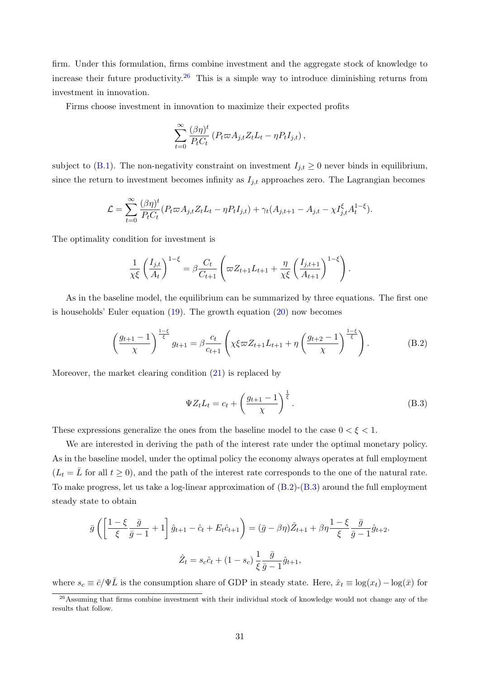firm. Under this formulation, firms combine investment and the aggregate stock of knowledge to increase their future productivity.[26](#page-31-0) This is a simple way to introduce diminishing returns from investment in innovation.

Firms choose investment in innovation to maximize their expected profits

$$
\sum_{t=0}^{\infty} \frac{(\beta \eta)^t}{P_t C_t} \left( P_t \varpi A_{j,t} Z_t L_t - \eta P_t I_{j,t} \right),
$$

subject to [\(B.1\)](#page-30-3). The non-negativity constraint on investment  $I_{j,t} \geq 0$  never binds in equilibrium, since the return to investment becomes infinity as  $I_{j,t}$  approaches zero. The Lagrangian becomes

$$
\mathcal{L} = \sum_{t=0}^{\infty} \frac{(\beta \eta)^t}{P_t C_t} (P_t \varpi A_{j,t} Z_t L_t - \eta P_t I_{j,t}) + \gamma_t (A_{j,t+1} - A_{j,t} - \chi I_{j,t}^{\xi} A_t^{1-\xi}).
$$

The optimality condition for investment is

$$
\frac{1}{\chi\xi} \left(\frac{I_{j,t}}{A_t}\right)^{1-\xi} = \beta \frac{C_t}{C_{t+1}} \left(\varpi Z_{t+1} L_{t+1} + \frac{\eta}{\chi\xi} \left(\frac{I_{j,t+1}}{A_{t+1}}\right)^{1-\xi}\right).
$$

As in the baseline model, the equilibrium can be summarized by three equations. The first one is households' Euler equation [\(19\)](#page-9-0). The growth equation [\(20\)](#page-9-1) now becomes

<span id="page-31-1"></span>
$$
\left(\frac{g_{t+1}-1}{\chi}\right)^{\frac{1-\xi}{\xi}}g_{t+1} = \beta \frac{c_t}{c_{t+1}} \left(\chi \xi \varpi Z_{t+1} L_{t+1} + \eta \left(\frac{g_{t+2}-1}{\chi}\right)^{\frac{1-\xi}{\xi}}\right). \tag{B.2}
$$

Moreover, the market clearing condition [\(21\)](#page-10-1) is replaced by

<span id="page-31-2"></span>
$$
\Psi Z_t L_t = c_t + \left(\frac{g_{t+1} - 1}{\chi}\right)^{\frac{1}{\xi}}.
$$
\n(B.3)

These expressions generalize the ones from the baseline model to the case  $0 < \xi < 1$ .

We are interested in deriving the path of the interest rate under the optimal monetary policy. As in the baseline model, under the optimal policy the economy always operates at full employment  $(L_t = \overline{L}$  for all  $t \geq 0$ , and the path of the interest rate corresponds to the one of the natural rate. To make progress, let us take a log-linear approximation of [\(B.2\)](#page-31-1)-[\(B.3\)](#page-31-2) around the full employment steady state to obtain

$$
\bar{g}\left(\left[\frac{1-\xi}{\xi}\frac{\bar{g}}{\bar{g}-1}+1\right]\hat{g}_{t+1}-\hat{c}_t+E_t\hat{c}_{t+1}\right)=(\bar{g}-\beta\eta)\hat{Z}_{t+1}+\beta\eta\frac{1-\xi}{\xi}\frac{\bar{g}}{\bar{g}-1}\hat{g}_{t+2}.
$$

$$
\hat{Z}_t=s_c\hat{c}_t+(1-s_c)\frac{1}{\xi}\frac{\bar{g}}{\bar{g}-1}\hat{g}_{t+1},
$$

where  $s_c \equiv \bar{c}/\Psi \bar{L}$  is the consumption share of GDP in steady state. Here,  $\hat{x}_t \equiv \log(x_t) - \log(\bar{x})$  for

<span id="page-31-0"></span><sup>&</sup>lt;sup>26</sup>Assuming that firms combine investment with their individual stock of knowledge would not change any of the results that follow.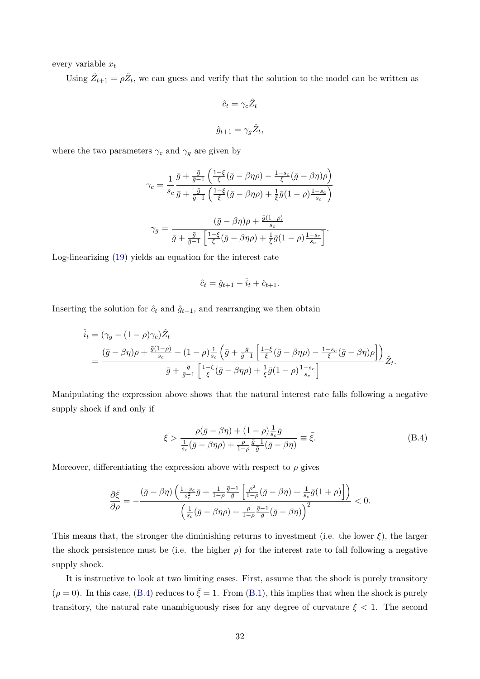every variable  $x_t$ 

Using  $\hat{Z}_{t+1} = \rho \hat{Z}_t$ , we can guess and verify that the solution to the model can be written as

$$
\hat{c}_t = \gamma_c \hat{Z}_t
$$

$$
\hat{g}_{t+1} = \gamma_g \hat{Z}_t,
$$

where the two parameters  $\gamma_c$  and  $\gamma_g$  are given by

$$
\gamma_c = \frac{1}{s_c} \frac{\bar{g} + \frac{\bar{g}}{\bar{g}-1} \left( \frac{1-\xi}{\xi} (\bar{g} - \beta \eta \rho) - \frac{1-s_c}{\xi} (\bar{g} - \beta \eta) \rho \right)}{\bar{g} + \frac{\bar{g}}{\bar{g}-1} \left( \frac{1-\xi}{\xi} (\bar{g} - \beta \eta \rho) + \frac{1}{\xi} \bar{g} (1-\rho) \frac{1-s_c}{s_c} \right)}
$$

$$
\gamma_g = \frac{(\bar{g} - \beta \eta) \rho + \frac{\bar{g}(1-\rho)}{s_c}}{\bar{g} + \frac{\bar{g}}{\bar{g}-1} \left[ \frac{1-\xi}{\xi} (\bar{g} - \beta \eta \rho) + \frac{1}{\xi} \bar{g} (1-\rho) \frac{1-s_c}{s_c} \right]}.
$$

Log-linearizing [\(19\)](#page-9-0) yields an equation for the interest rate

$$
\hat{c}_t = \hat{g}_{t+1} - \hat{i}_t + \hat{c}_{t+1}.
$$

Inserting the solution for  $\hat{c}_t$  and  $\hat{g}_{t+1}$ , and rearranging we then obtain

$$
\hat{i}_t = (\gamma_g - (1 - \rho)\gamma_c)\hat{Z}_t
$$
\n
$$
= \frac{(\bar{g} - \beta\eta)\rho + \frac{\bar{g}(1 - \rho)}{s_c} - (1 - \rho)\frac{1}{s_c}(\bar{g} + \frac{\bar{g}}{\bar{g} - 1}\left[\frac{1 - \xi}{\xi}(\bar{g} - \beta\eta\rho) - \frac{1 - s_c}{\xi}(\bar{g} - \beta\eta)\rho\right])}{\bar{g} + \frac{\bar{g}}{\bar{g} - 1}\left[\frac{1 - \xi}{\xi}(\bar{g} - \beta\eta\rho) + \frac{1}{\xi}\bar{g}(1 - \rho)\frac{1 - s_c}{s_c}\right]}\hat{Z}_t.
$$

Manipulating the expression above shows that the natural interest rate falls following a negative supply shock if and only if

<span id="page-32-0"></span>
$$
\xi > \frac{\rho(\bar{g} - \beta\eta) + (1 - \rho)\frac{1}{s_c}\bar{g}}{\frac{1}{s_c}(\bar{g} - \beta\eta\rho) + \frac{\rho}{1 - \rho}\frac{\bar{g} - 1}{\bar{g}}(\bar{g} - \beta\eta)} \equiv \bar{\xi}.
$$
\n(B.4)

Moreover, differentiating the expression above with respect to  $\rho$  gives

$$
\frac{\partial \bar{\xi}}{\partial \rho} = -\frac{(\bar{g} - \beta \eta) \left( \frac{1 - s_c}{s_c^2} \bar{g} + \frac{1}{1 - \rho} \frac{\bar{g} - 1}{\bar{g}} \left[ \frac{\rho^2}{1 - \rho} (\bar{g} - \beta \eta) + \frac{1}{s_c} \bar{g} (1 + \rho) \right] \right)}{\left( \frac{1}{s_c} (\bar{g} - \beta \eta \rho) + \frac{\rho}{1 - \rho} \frac{\bar{g} - 1}{\bar{g}} (\bar{g} - \beta \eta) \right)^2} < 0.
$$

This means that, the stronger the diminishing returns to investment (i.e. the lower  $\xi$ ), the larger the shock persistence must be (i.e. the higher  $\rho$ ) for the interest rate to fall following a negative supply shock.

It is instructive to look at two limiting cases. First, assume that the shock is purely transitory  $(\rho = 0)$ . In this case, [\(B.4\)](#page-32-0) reduces to  $\bar{\xi} = 1$ . From [\(B.1\)](#page-30-3), this implies that when the shock is purely transitory, the natural rate unambiguously rises for any degree of curvature  $\xi < 1$ . The second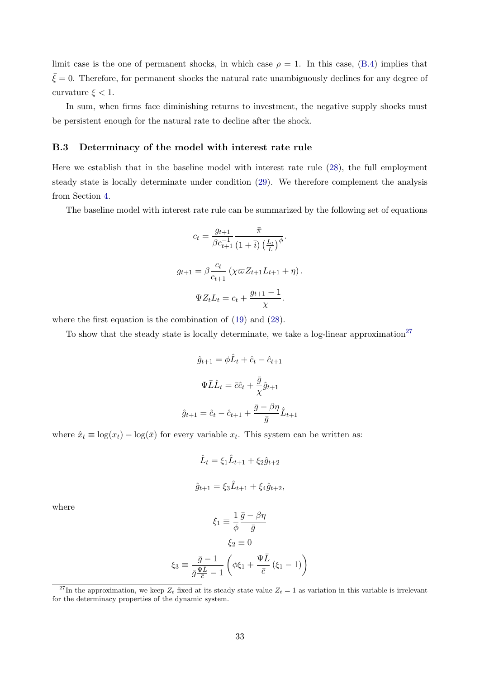limit case is the one of permanent shocks, in which case  $\rho = 1$ . In this case, [\(B.4\)](#page-32-0) implies that  $\bar{\xi} = 0$ . Therefore, for permanent shocks the natural rate unambiguously declines for any degree of curvature  $\xi < 1$ .

In sum, when firms face diminishing returns to investment, the negative supply shocks must be persistent enough for the natural rate to decline after the shock.

### <span id="page-33-0"></span>B.3 Determinacy of the model with interest rate rule

Here we establish that in the baseline model with interest rate rule [\(28\)](#page-15-1), the full employment steady state is locally determinate under condition [\(29\)](#page-15-4). We therefore complement the analysis from Section [4.](#page-15-0)

The baseline model with interest rate rule can be summarized by the following set of equations

$$
c_{t} = \frac{g_{t+1}}{\beta c_{t+1}^{-1}} \frac{\bar{\pi}}{(1+\bar{i}) \left(\frac{L_{t}}{L}\right)^{\phi}}.
$$

$$
g_{t+1} = \beta \frac{c_{t}}{c_{t+1}} \left(\chi \varpi Z_{t+1} L_{t+1} + \eta\right).
$$

$$
\Psi Z_{t} L_{t} = c_{t} + \frac{g_{t+1} - 1}{\chi}.
$$

where the first equation is the combination of [\(19\)](#page-9-0) and [\(28\)](#page-15-1).

To show that the steady state is locally determinate, we take a log-linear approximation<sup>[27](#page-33-1)</sup>

$$
\hat{g}_{t+1} = \phi \hat{L}_t + \hat{c}_t - \hat{c}_{t+1}
$$

$$
\Psi \bar{L} \hat{L}_t = \overline{c} \hat{c}_t + \frac{\overline{g}}{\chi} \hat{g}_{t+1}
$$

$$
\hat{g}_{t+1} = \hat{c}_t - \hat{c}_{t+1} + \frac{\overline{g} - \beta \eta}{\overline{g}} \hat{L}_{t+1}
$$

where  $\hat{x}_t \equiv \log(x_t) - \log(\bar{x})$  for every variable  $x_t$ . This system can be written as:

$$
\hat{L}_t = \xi_1 \hat{L}_{t+1} + \xi_2 \hat{g}_{t+2}
$$

$$
\hat{g}_{t+1} = \xi_3 \hat{L}_{t+1} + \xi_4 \hat{g}_{t+2},
$$

where

$$
\xi_1 \equiv \frac{1}{\phi} \frac{\bar{g} - \beta \eta}{\bar{g}}
$$

$$
\xi_2 \equiv 0
$$

$$
\xi_3 \equiv \frac{\bar{g} - 1}{\bar{g} \frac{\Psi \bar{L}}{\bar{c}} - 1} \left( \phi \xi_1 + \frac{\Psi \bar{L}}{\bar{c}} \left( \xi_1 - 1 \right) \right)
$$

<span id="page-33-1"></span><sup>&</sup>lt;sup>27</sup>In the approximation, we keep  $Z_t$  fixed at its steady state value  $Z_t = 1$  as variation in this variable is irrelevant for the determinacy properties of the dynamic system.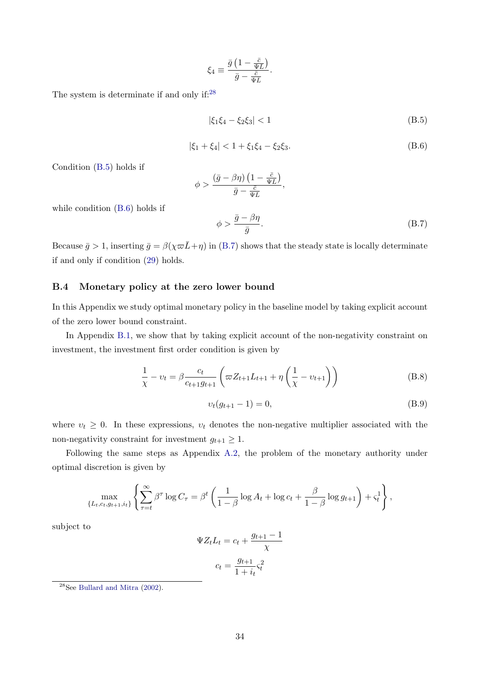$$
\xi_4 \equiv \frac{\bar{g} \left(1 - \frac{\bar{c}}{\Psi \bar{L}}\right)}{\bar{g} - \frac{\bar{c}}{\Psi \bar{L}}}.
$$

The system is determinate if and only if:<sup>[28](#page-34-1)</sup>

<span id="page-34-2"></span>
$$
|\xi_1 \xi_4 - \xi_2 \xi_3| < 1 \tag{B.5}
$$

<span id="page-34-3"></span>
$$
|\xi_1 + \xi_4| < 1 + \xi_1 \xi_4 - \xi_2 \xi_3. \tag{B.6}
$$

Condition [\(B.5\)](#page-34-2) holds if

$$
\phi > \frac{\left(\bar{g} - \beta \eta\right)\left(1 - \frac{\bar{c}}{\Psi L}\right)}{\bar{g} - \frac{\bar{c}}{\Psi \bar{L}}},
$$

while condition [\(B.6\)](#page-34-3) holds if

<span id="page-34-4"></span>
$$
\phi > \frac{\bar{g} - \beta \eta}{\bar{g}}.\tag{B.7}
$$

Because  $\bar{g} > 1$ , inserting  $\bar{g} = \beta(\chi \bar{\omega} \bar{L} + \eta)$  in [\(B.7\)](#page-34-4) shows that the steady state is locally determinate if and only if condition [\(29\)](#page-15-4) holds.

### <span id="page-34-0"></span>B.4 Monetary policy at the zero lower bound

In this Appendix we study optimal monetary policy in the baseline model by taking explicit account of the zero lower bound constraint.

In Appendix [B.1,](#page-30-1) we show that by taking explicit account of the non-negativity constraint on investment, the investment first order condition is given by

<span id="page-34-5"></span>
$$
\frac{1}{\chi} - v_t = \beta \frac{c_t}{c_{t+1} g_{t+1}} \left( \varpi Z_{t+1} L_{t+1} + \eta \left( \frac{1}{\chi} - v_{t+1} \right) \right)
$$
(B.8)

<span id="page-34-6"></span>
$$
v_t(g_{t+1} - 1) = 0,\t\t(B.9)
$$

where  $v_t \geq 0$ . In these expressions,  $v_t$  denotes the non-negative multiplier associated with the non-negativity constraint for investment  $g_{t+1} \geq 1$ .

Following the same steps as Appendix [A.2,](#page-26-0) the problem of the monetary authority under optimal discretion is given by

$$
\max_{\{L_t, c_t, g_{t+1}, i_t\}} \left\{ \sum_{\tau=t}^{\infty} \beta^{\tau} \log C_{\tau} = \beta^t \left( \frac{1}{1-\beta} \log A_t + \log c_t + \frac{\beta}{1-\beta} \log g_{t+1} \right) + \varsigma_t^1 \right\},\,
$$

subject to

$$
\Psi Z_t L_t = c_t + \frac{g_{t+1} - 1}{\chi}
$$

$$
c_t = \frac{g_{t+1}}{1 + i_t} c_t^2
$$

<span id="page-34-1"></span><sup>28</sup>See [Bullard and Mitra](#page-45-12) [\(2002\)](#page-45-12).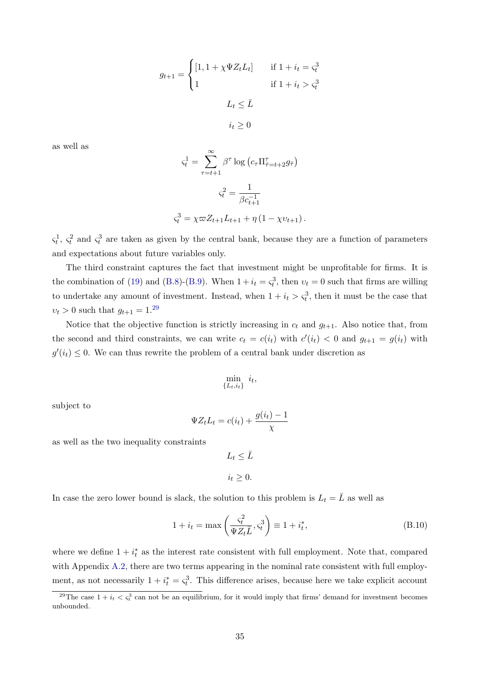$$
g_{t+1} = \begin{cases} [1, 1 + \chi \Psi Z_t L_t] & \text{if } 1 + i_t = \varsigma_t^3 \\ 1 & \text{if } 1 + i_t > \varsigma_t^3 \end{cases}
$$
\n
$$
L_t \leq \bar{L}
$$
\n
$$
i_t \geq 0
$$

as well as

$$
\zeta_t^1 = \sum_{\tau=t+1}^{\infty} \beta^{\tau} \log \left( c_{\tau} \Pi_{\hat{\tau}=t+2}^{\tau} g_{\hat{\tau}} \right)
$$

$$
\zeta_t^2 = \frac{1}{\beta c_{t+1}^{-1}}
$$

$$
\zeta_t^3 = \chi \varpi Z_{t+1} L_{t+1} + \eta \left( 1 - \chi v_{t+1} \right).
$$

 $\varsigma_t^1$ ,  $\varsigma_t^2$  and  $\varsigma_t^3$  are taken as given by the central bank, because they are a function of parameters and expectations about future variables only.

The third constraint captures the fact that investment might be unprofitable for firms. It is the combination of [\(19\)](#page-9-0) and [\(B.8\)](#page-34-5)-[\(B.9\)](#page-34-6). When  $1 + i_t = \zeta_t^3$ , then  $v_t = 0$  such that firms are willing to undertake any amount of investment. Instead, when  $1 + i_t > \zeta_t^3$ , then it must be the case that  $v_t > 0$  such that  $g_{t+1} = 1.^{29}$  $g_{t+1} = 1.^{29}$  $g_{t+1} = 1.^{29}$ 

Notice that the objective function is strictly increasing in  $c_t$  and  $g_{t+1}$ . Also notice that, from the second and third constraints, we can write  $c_t = c(i_t)$  with  $c'(i_t) < 0$  and  $g_{t+1} = g(i_t)$  with  $g'(i_t) \leq 0$ . We can thus rewrite the problem of a central bank under discretion as

$$
\min_{\{L_t, i_t\}} i_t,
$$

subject to

$$
\Psi Z_t L_t = c(i_t) + \frac{g(i_t) - 1}{\chi}
$$

as well as the two inequality constraints

$$
L_t \leq \bar{L}
$$

 $i_t \geq 0$ .

In case the zero lower bound is slack, the solution to this problem is  $L_t = \overline{L}$  as well as

<span id="page-35-1"></span>
$$
1 + i_t = \max\left(\frac{\varsigma_t^2}{\Psi Z_t \bar{L}}, \varsigma_t^3\right) \equiv 1 + i_t^*,
$$
\n(B.10)

where we define  $1 + i_t^*$  as the interest rate consistent with full employment. Note that, compared with Appendix [A.2,](#page-26-0) there are two terms appearing in the nominal rate consistent with full employment, as not necessarily  $1 + i_t^* = \varsigma_t^3$ . This difference arises, because here we take explicit account

<span id="page-35-0"></span><sup>&</sup>lt;sup>29</sup>The case  $1 + i_t < \zeta_t^3$  can not be an equilibrium, for it would imply that firms' demand for investment becomes unbounded.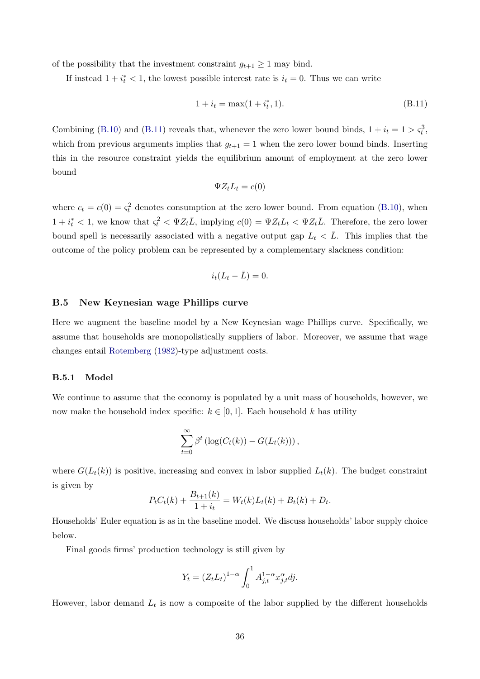of the possibility that the investment constraint  $g_{t+1} \geq 1$  may bind.

If instead  $1 + i_t^* < 1$ , the lowest possible interest rate is  $i_t = 0$ . Thus we can write

<span id="page-36-1"></span>
$$
1 + i_t = \max(1 + i_t^*, 1). \tag{B.11}
$$

Combining [\(B.10\)](#page-35-1) and [\(B.11\)](#page-36-1) reveals that, whenever the zero lower bound binds,  $1 + i_t = 1 > \varsigma_t^3$ , which from previous arguments implies that  $g_{t+1} = 1$  when the zero lower bound binds. Inserting this in the resource constraint yields the equilibrium amount of employment at the zero lower bound

$$
\Psi Z_t L_t = c(0)
$$

where  $c_t = c(0) = \varsigma_t^2$  denotes consumption at the zero lower bound. From equation [\(B.10\)](#page-35-1), when  $1+i_t^* < 1$ , we know that  $\varsigma_t^2 < \Psi Z_t \overline{L}$ , implying  $c(0) = \Psi Z_t L_t < \Psi Z_t \overline{L}$ . Therefore, the zero lower bound spell is necessarily associated with a negative output gap  $L_t < \overline{L}$ . This implies that the outcome of the policy problem can be represented by a complementary slackness condition:

$$
i_t(L_t - \bar{L}) = 0.
$$

### <span id="page-36-0"></span>B.5 New Keynesian wage Phillips curve

Here we augment the baseline model by a New Keynesian wage Phillips curve. Specifically, we assume that households are monopolistically suppliers of labor. Moreover, we assume that wage changes entail [Rotemberg](#page-46-9) [\(1982\)](#page-46-9)-type adjustment costs.

### B.5.1 Model

We continue to assume that the economy is populated by a unit mass of households, however, we now make the household index specific:  $k \in [0, 1]$ . Each household k has utility

$$
\sum_{t=0}^{\infty} \beta^t \left( \log(C_t(k)) - G(L_t(k)) \right),
$$

where  $G(L_t(k))$  is positive, increasing and convex in labor supplied  $L_t(k)$ . The budget constraint is given by

$$
P_t C_t(k) + \frac{B_{t+1}(k)}{1+i_t} = W_t(k)L_t(k) + B_t(k) + D_t.
$$

Households' Euler equation is as in the baseline model. We discuss households' labor supply choice below.

Final goods firms' production technology is still given by

$$
Y_t = (Z_t L_t)^{1-\alpha} \int_0^1 A_{j,t}^{1-\alpha} x_{j,t}^{\alpha} dj.
$$

However, labor demand  $L_t$  is now a composite of the labor supplied by the different households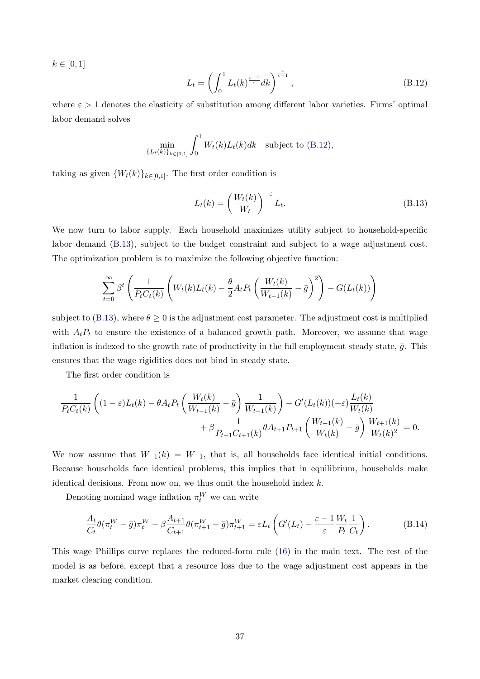$k \in [0, 1]$ 

<span id="page-37-0"></span>
$$
L_t = \left(\int_0^1 L_t(k)^{\frac{\varepsilon - 1}{\varepsilon}} dk\right)^{\frac{\varepsilon}{\varepsilon - 1}},\tag{B.12}
$$

where  $\varepsilon > 1$  denotes the elasticity of substitution among different labor varieties. Firms' optimal labor demand solves

$$
\min_{\{L_t(k)\}_{k \in [0,1]} \int_0^1 W_t(k) L_t(k) dk \text{ subject to (B.12)},
$$

taking as given  $\{W_t(k)\}_{k\in[0,1]}$ . The first order condition is

<span id="page-37-1"></span>
$$
L_t(k) = \left(\frac{W_t(k)}{W_t}\right)^{-\varepsilon} L_t.
$$
\n(B.13)

We now turn to labor supply. Each household maximizes utility subject to household-specific labor demand [\(B.13\)](#page-37-1), subject to the budget constraint and subject to a wage adjustment cost. The optimization problem is to maximize the following objective function:

$$
\sum_{t=0}^{\infty} \beta^t \left( \frac{1}{P_t C_t(k)} \left( W_t(k) L_t(k) - \frac{\theta}{2} A_t P_t \left( \frac{W_t(k)}{W_{t-1}(k)} - \bar{g} \right)^2 \right) - G(L_t(k)) \right)
$$

subject to [\(B.13\)](#page-37-1), where  $\theta \geq 0$  is the adjustment cost parameter. The adjustment cost is multiplied with  $A_tP_t$  to ensure the existence of a balanced growth path. Moreover, we assume that wage inflation is indexed to the growth rate of productivity in the full employment steady state,  $\bar{g}$ . This ensures that the wage rigidities does not bind in steady state.

The first order condition is

$$
\frac{1}{P_t C_t(k)} \left( (1 - \varepsilon) L_t(k) - \theta A_t P_t \left( \frac{W_t(k)}{W_{t-1}(k)} - \bar{g} \right) \frac{1}{W_{t-1}(k)} \right) - G'(L_t(k)) (-\varepsilon) \frac{L_t(k)}{W_t(k)} + \beta \frac{1}{P_{t+1} C_{t+1}(k)} \theta A_{t+1} P_{t+1} \left( \frac{W_{t+1}(k)}{W_t(k)} - \bar{g} \right) \frac{W_{t+1}(k)}{W_t(k)^2} = 0.
$$

We now assume that  $W_{-1}(k) = W_{-1}$ , that is, all households face identical initial conditions. Because households face identical problems, this implies that in equilibrium, households make identical decisions. From now on, we thus omit the household index  $k$ .

Denoting nominal wage inflation  $\pi_t^W$  we can write

<span id="page-37-2"></span>
$$
\frac{A_t}{C_t}\theta(\pi_t^W - \bar{g})\pi_t^W - \beta \frac{A_{t+1}}{C_{t+1}}\theta(\pi_{t+1}^W - \bar{g})\pi_{t+1}^W = \varepsilon L_t \left(G'(L_t) - \frac{\varepsilon - 1}{\varepsilon} \frac{W_t}{P_t} \frac{1}{C_t}\right). \tag{B.14}
$$

This wage Phillips curve replaces the reduced-form rule [\(16\)](#page-8-1) in the main text. The rest of the model is as before, except that a resource loss due to the wage adjustment cost appears in the market clearing condition.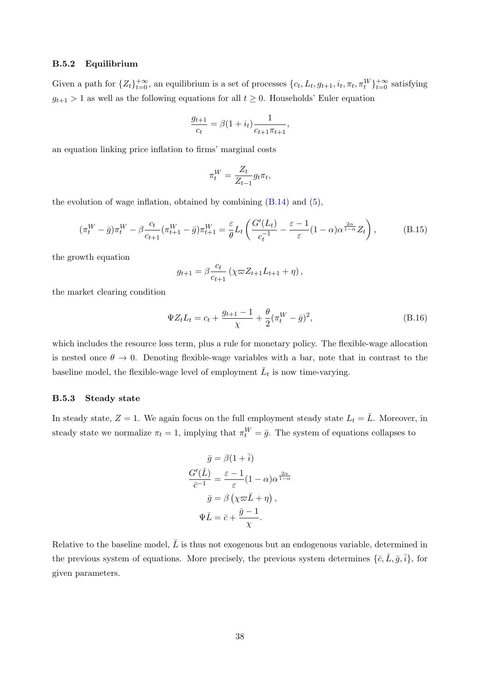### B.5.2 Equilibrium

Given a path for  $\{Z_t\}_{t=0}^{+\infty}$ , an equilibrium is a set of processes  $\{c_t, L_t, g_{t+1}, i_t, \pi_t, \pi_t^W\}_{t=0}^{+\infty}$  satisfying  $g_{t+1} > 1$  as well as the following equations for all  $t \geq 0$ . Households' Euler equation

$$
\frac{g_{t+1}}{c_t} = \beta(1 + i_t) \frac{1}{c_{t+1} \pi_{t+1}},
$$

an equation linking price inflation to firms' marginal costs

$$
\pi_t^W = \frac{Z_t}{Z_{t-1}} g_t \pi_t,
$$

the evolution of wage inflation, obtained by combining [\(B.14\)](#page-37-2) and [\(5\)](#page-5-4),

<span id="page-38-0"></span>
$$
(\pi_t^W - \bar{g})\pi_t^W - \beta \frac{c_t}{c_{t+1}} (\pi_{t+1}^W - \bar{g})\pi_{t+1}^W = \frac{\varepsilon}{\theta} L_t \left( \frac{G'(L_t)}{c_t^{-1}} - \frac{\varepsilon - 1}{\varepsilon} (1 - \alpha) \alpha^{\frac{2\alpha}{1 - \alpha}} Z_t \right),
$$
(B.15)

the growth equation

$$
g_{t+1} = \beta \frac{c_t}{c_{t+1}} (\chi \varpi Z_{t+1} L_{t+1} + \eta),
$$

the market clearing condition

$$
\Psi Z_t L_t = c_t + \frac{g_{t+1} - 1}{\chi} + \frac{\theta}{2} (\pi_t^W - \bar{g})^2, \tag{B.16}
$$

which includes the resource loss term, plus a rule for monetary policy. The flexible-wage allocation is nested once  $\theta \to 0$ . Denoting flexible-wage variables with a bar, note that in contrast to the baseline model, the flexible-wage level of employment  $\bar{L}_t$  is now time-varying.

### B.5.3 Steady state

In steady state,  $Z = 1$ . We again focus on the full employment steady state  $L_t = \overline{L}$ . Moreover, in steady state we normalize  $\pi_t = 1$ , implying that  $\pi_t^W = \bar{g}$ . The system of equations collapses to

$$
\bar{g} = \beta(1 + \bar{i})
$$

$$
\frac{G'(\bar{L})}{\bar{c}^{-1}} = \frac{\varepsilon - 1}{\varepsilon} (1 - \alpha) \alpha^{\frac{2\alpha}{1 - \alpha}}
$$

$$
\bar{g} = \beta (\chi \varpi \bar{L} + \eta),
$$

$$
\Psi \bar{L} = \bar{c} + \frac{\bar{g} - 1}{\chi}.
$$

Relative to the baseline model,  $\bar{L}$  is thus not exogenous but an endogenous variable, determined in the previous system of equations. More precisely, the previous system determines  $\{\bar{c}, \bar{L}, \bar{g}, \bar{i}\},$  for given parameters.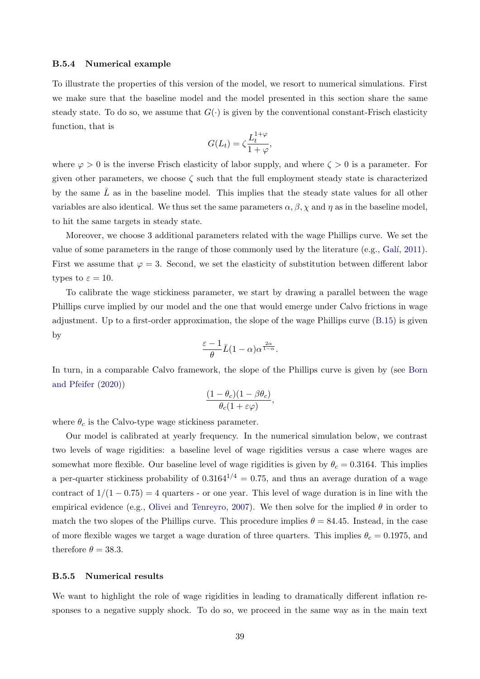### B.5.4 Numerical example

To illustrate the properties of this version of the model, we resort to numerical simulations. First we make sure that the baseline model and the model presented in this section share the same steady state. To do so, we assume that  $G(\cdot)$  is given by the conventional constant-Frisch elasticity function, that is

$$
G(L_t) = \zeta \frac{L_t^{1+\varphi}}{1+\varphi},
$$

where  $\varphi > 0$  is the inverse Frisch elasticity of labor supply, and where  $\zeta > 0$  is a parameter. For given other parameters, we choose  $\zeta$  such that the full employment steady state is characterized by the same  $L$  as in the baseline model. This implies that the steady state values for all other variables are also identical. We thus set the same parameters  $\alpha, \beta, \chi$  and  $\eta$  as in the baseline model, to hit the same targets in steady state.

Moreover, we choose 3 additional parameters related with the wage Phillips curve. We set the value of some parameters in the range of those commonly used by the literature (e.g., Galí, [2011\)](#page-45-13). First we assume that  $\varphi = 3$ . Second, we set the elasticity of substitution between different labor types to  $\varepsilon = 10$ .

To calibrate the wage stickiness parameter, we start by drawing a parallel between the wage Phillips curve implied by our model and the one that would emerge under Calvo frictions in wage adjustment. Up to a first-order approximation, the slope of the wage Phillips curve [\(B.15\)](#page-38-0) is given by

$$
\frac{\varepsilon-1}{\theta}\bar{L}(1-\alpha)\alpha^{\frac{2\alpha}{1-\alpha}}.
$$

In turn, in a comparable Calvo framework, the slope of the Phillips curve is given by (see [Born](#page-45-14) [and Pfeifer](#page-45-14) [\(2020\)](#page-45-14))

$$
\frac{(1-\theta_c)(1-\beta\theta_c)}{\theta_c(1+\varepsilon\varphi)},
$$

where  $\theta_c$  is the Calvo-type wage stickiness parameter.

Our model is calibrated at yearly frequency. In the numerical simulation below, we contrast two levels of wage rigidities: a baseline level of wage rigidities versus a case where wages are somewhat more flexible. Our baseline level of wage rigidities is given by  $\theta_c = 0.3164$ . This implies a per-quarter stickiness probability of  $0.3164^{1/4} = 0.75$ , and thus an average duration of a wage contract of  $1/(1-0.75) = 4$  quarters - or one year. This level of wage duration is in line with the empirical evidence (e.g., [Olivei and Tenreyro,](#page-46-10) [2007\)](#page-46-10). We then solve for the implied  $\theta$  in order to match the two slopes of the Phillips curve. This procedure implies  $\theta = 84.45$ . Instead, in the case of more flexible wages we target a wage duration of three quarters. This implies  $\theta_c = 0.1975$ , and therefore  $\theta = 38.3$ .

### B.5.5 Numerical results

We want to highlight the role of wage rigidities in leading to dramatically different inflation responses to a negative supply shock. To do so, we proceed in the same way as in the main text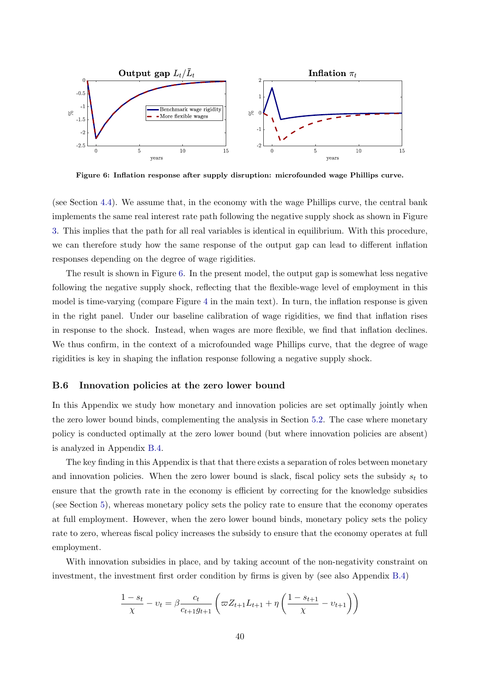<span id="page-40-1"></span>

Figure 6: Inflation response after supply disruption: microfounded wage Phillips curve.

(see Section [4.4\)](#page-19-0). We assume that, in the economy with the wage Phillips curve, the central bank implements the same real interest rate path following the negative supply shock as shown in Figure [3.](#page-18-0) This implies that the path for all real variables is identical in equilibrium. With this procedure, we can therefore study how the same response of the output gap can lead to different inflation responses depending on the degree of wage rigidities.

The result is shown in Figure [6.](#page-40-1) In the present model, the output gap is somewhat less negative following the negative supply shock, reflecting that the flexible-wage level of employment in this model is time-varying (compare Figure [4](#page-21-0) in the main text). In turn, the inflation response is given in the right panel. Under our baseline calibration of wage rigidities, we find that inflation rises in response to the shock. Instead, when wages are more flexible, we find that inflation declines. We thus confirm, in the context of a microfounded wage Phillips curve, that the degree of wage rigidities is key in shaping the inflation response following a negative supply shock.

### <span id="page-40-0"></span>B.6 Innovation policies at the zero lower bound

In this Appendix we study how monetary and innovation policies are set optimally jointly when the zero lower bound binds, complementing the analysis in Section [5.2.](#page-23-2) The case where monetary policy is conducted optimally at the zero lower bound (but where innovation policies are absent) is analyzed in Appendix [B.4.](#page-34-0)

The key finding in this Appendix is that that there exists a separation of roles between monetary and innovation policies. When the zero lower bound is slack, fiscal policy sets the subsidy  $s_t$  to ensure that the growth rate in the economy is efficient by correcting for the knowledge subsidies (see Section [5\)](#page-22-0), whereas monetary policy sets the policy rate to ensure that the economy operates at full employment. However, when the zero lower bound binds, monetary policy sets the policy rate to zero, whereas fiscal policy increases the subsidy to ensure that the economy operates at full employment.

With innovation subsidies in place, and by taking account of the non-negativity constraint on investment, the investment first order condition by firms is given by (see also Appendix [B.4\)](#page-34-0)

$$
\frac{1 - s_t}{\chi} - v_t = \beta \frac{c_t}{c_{t+1}g_{t+1}} \left( \varpi Z_{t+1} L_{t+1} + \eta \left( \frac{1 - s_{t+1}}{\chi} - v_{t+1} \right) \right)
$$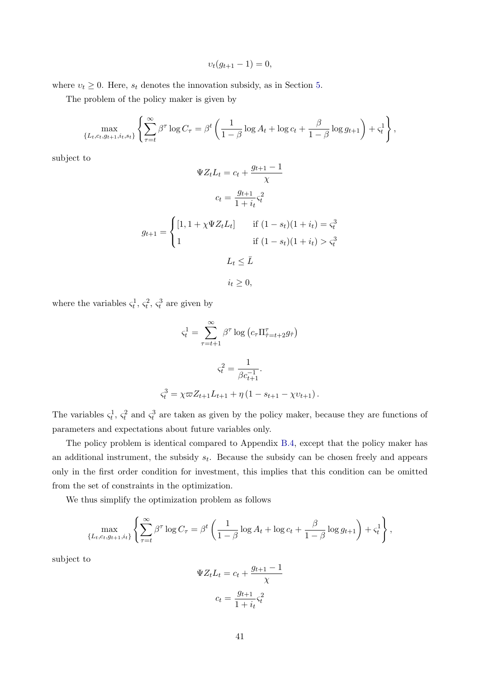$$
v_t(g_{t+1} - 1) = 0,
$$

where  $v_t \geq 0$ . Here,  $s_t$  denotes the innovation subsidy, as in Section [5.](#page-22-0)

The problem of the policy maker is given by

$$
\max_{\{L_t, c_t, g_{t+1}, i_t, s_t\}} \left\{ \sum_{\tau=t}^{\infty} \beta^{\tau} \log C_{\tau} = \beta^t \left( \frac{1}{1-\beta} \log A_t + \log c_t + \frac{\beta}{1-\beta} \log g_{t+1} \right) + \varsigma_t^1 \right\},\,
$$

subject to

$$
\Psi Z_t L_t = c_t + \frac{g_{t+1} - 1}{\chi}
$$

$$
c_t = \frac{g_{t+1}}{1 + i_t} \varsigma_t^2
$$

$$
g_{t+1} = \begin{cases} \n[1, 1 + \chi \Psi Z_t L_t] & \text{if } (1 - s_t)(1 + i_t) = \varsigma_t^3\\ \n1 & \text{if } (1 - s_t)(1 + i_t) > \varsigma_t^3 \n\end{cases}
$$

$$
L_t \leq \bar{L}
$$

$$
i_t \geq 0,
$$

where the variables  $\varsigma_t^1$ ,  $\varsigma_t^2$ ,  $\varsigma_t^3$  are given by

$$
\zeta_t^1 = \sum_{\tau=t+1}^{\infty} \beta^{\tau} \log \left( c_{\tau} \Pi_{\hat{\tau}=t+2}^{\tau} g_{\hat{\tau}} \right)
$$

$$
\zeta_t^2 = \frac{1}{\beta c_{t+1}^{-1}}.
$$

$$
\zeta_t^3 = \chi \varpi Z_{t+1} L_{t+1} + \eta \left( 1 - s_{t+1} - \chi v_{t+1} \right).
$$

The variables  $\zeta_t^1$ ,  $\zeta_t^2$  and  $\zeta_t^3$  are taken as given by the policy maker, because they are functions of parameters and expectations about future variables only.

The policy problem is identical compared to Appendix [B.4,](#page-34-0) except that the policy maker has an additional instrument, the subsidy  $s_t$ . Because the subsidy can be chosen freely and appears only in the first order condition for investment, this implies that this condition can be omitted from the set of constraints in the optimization.

We thus simplify the optimization problem as follows

$$
\max_{\{L_t, c_t, g_{t+1}, i_t\}} \left\{ \sum_{\tau=t}^{\infty} \beta^{\tau} \log C_{\tau} = \beta^t \left( \frac{1}{1-\beta} \log A_t + \log c_t + \frac{\beta}{1-\beta} \log g_{t+1} \right) + \varsigma_t^1 \right\},\,
$$

subject to

$$
\Psi Z_t L_t = c_t + \frac{g_{t+1} - 1}{\chi}
$$

$$
c_t = \frac{g_{t+1}}{1 + i_t} \zeta_t^2
$$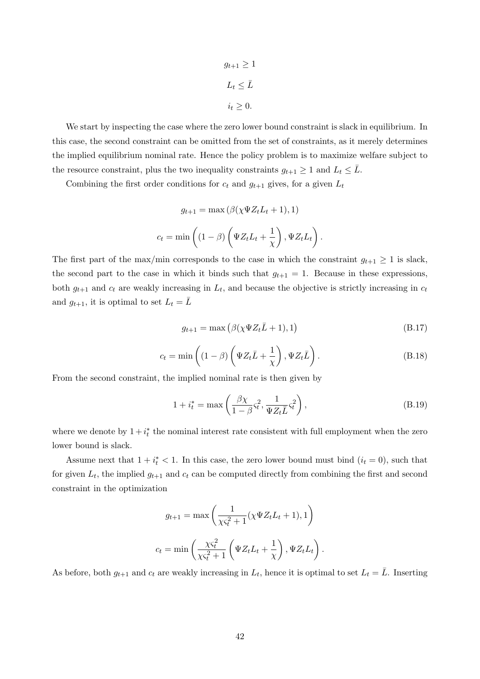$$
g_{t+1} \ge 1
$$

$$
L_t \le \bar{L}
$$

$$
i_t \ge 0.
$$

We start by inspecting the case where the zero lower bound constraint is slack in equilibrium. In this case, the second constraint can be omitted from the set of constraints, as it merely determines the implied equilibrium nominal rate. Hence the policy problem is to maximize welfare subject to the resource constraint, plus the two inequality constraints  $g_{t+1} \geq 1$  and  $L_t \leq L$ .

Combining the first order conditions for  $c_t$  and  $g_{t+1}$  gives, for a given  $L_t$ 

$$
g_{t+1} = \max(\beta(\chi \Psi Z_t L_t + 1), 1)
$$

$$
c_t = \min\left((1 - \beta)\left(\Psi Z_t L_t + \frac{1}{\chi}\right), \Psi Z_t L_t\right).
$$

The first part of the max/min corresponds to the case in which the constraint  $g_{t+1} \geq 1$  is slack, the second part to the case in which it binds such that  $g_{t+1} = 1$ . Because in these expressions, both  $g_{t+1}$  and  $c_t$  are weakly increasing in  $L_t$ , and because the objective is strictly increasing in  $c_t$ and  $g_{t+1}$ , it is optimal to set  $L_t = L$ 

<span id="page-42-0"></span>
$$
g_{t+1} = \max\left(\beta(\chi \Psi Z_t \bar{L} + 1), 1\right) \tag{B.17}
$$

<span id="page-42-1"></span>
$$
c_t = \min\left( (1 - \beta) \left( \Psi Z_t \bar{L} + \frac{1}{\chi} \right), \Psi Z_t \bar{L} \right). \tag{B.18}
$$

From the second constraint, the implied nominal rate is then given by

$$
1 + i_t^* = \max\left(\frac{\beta \chi}{1 - \beta} \varsigma_t^2, \frac{1}{\Psi Z_t \bar{L}} \varsigma_t^2\right),\tag{B.19}
$$

where we denote by  $1 + i_t^*$  the nominal interest rate consistent with full employment when the zero lower bound is slack.

Assume next that  $1 + i_t^* < 1$ . In this case, the zero lower bound must bind  $(i_t = 0)$ , such that for given  $L_t$ , the implied  $g_{t+1}$  and  $c_t$  can be computed directly from combining the first and second constraint in the optimization

$$
g_{t+1} = \max\left(\frac{1}{\chi \varsigma_t^2 + 1} (\chi \Psi Z_t L_t + 1), 1\right)
$$

$$
c_t = \min\left(\frac{\chi \varsigma_t^2}{\chi \varsigma_t^2 + 1} \left(\Psi Z_t L_t + \frac{1}{\chi}\right), \Psi Z_t L_t\right).
$$

As before, both  $g_{t+1}$  and  $c_t$  are weakly increasing in  $L_t$ , hence it is optimal to set  $L_t = \overline{L}$ . Inserting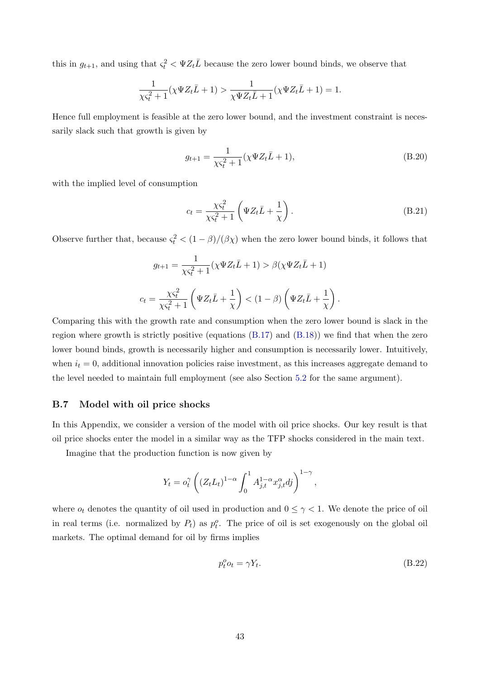this in  $g_{t+1}$ , and using that  $\varsigma_t^2 < \Psi Z_t \overline{L}$  because the zero lower bound binds, we observe that

$$
\frac{1}{\chi\varsigma_t^2 + 1}(\chi\Psi Z_t \bar{L} + 1) > \frac{1}{\chi\Psi Z_t \bar{L} + 1}(\chi\Psi Z_t \bar{L} + 1) = 1.
$$

Hence full employment is feasible at the zero lower bound, and the investment constraint is necessarily slack such that growth is given by

$$
g_{t+1} = \frac{1}{\chi \varsigma_t^2 + 1} (\chi \Psi Z_t \bar{L} + 1),
$$
 (B.20)

with the implied level of consumption

$$
c_t = \frac{\chi \varsigma_t^2}{\chi \varsigma_t^2 + 1} \left( \Psi Z_t \bar{L} + \frac{1}{\chi} \right). \tag{B.21}
$$

Observe further that, because  $\varsigma_t^2 < (1 - \beta)/(\beta \chi)$  when the zero lower bound binds, it follows that

$$
g_{t+1} = \frac{1}{\chi \varsigma_t^2 + 1} (\chi \Psi Z_t \bar{L} + 1) > \beta (\chi \Psi Z_t \bar{L} + 1)
$$

$$
c_t = \frac{\chi \varsigma_t^2}{\chi \varsigma_t^2 + 1} \left( \Psi Z_t \bar{L} + \frac{1}{\chi} \right) < (1 - \beta) \left( \Psi Z_t \bar{L} + \frac{1}{\chi} \right).
$$

Comparing this with the growth rate and consumption when the zero lower bound is slack in the region where growth is strictly positive (equations  $(B.17)$  and  $(B.18)$ ) we find that when the zero lower bound binds, growth is necessarily higher and consumption is necessarily lower. Intuitively, when  $i_t = 0$ , additional innovation policies raise investment, as this increases aggregate demand to the level needed to maintain full employment (see also Section [5.2](#page-23-2) for the same argument).

### <span id="page-43-0"></span>B.7 Model with oil price shocks

In this Appendix, we consider a version of the model with oil price shocks. Our key result is that oil price shocks enter the model in a similar way as the TFP shocks considered in the main text.

Imagine that the production function is now given by

$$
Y_t = o_t^{\gamma} \left( \left( Z_t L_t \right)^{1-\alpha} \int_0^1 A_{j,t}^{1-\alpha} x_{j,t}^{\alpha} d j \right)^{1-\gamma},
$$

where  $o_t$  denotes the quantity of oil used in production and  $0 \leq \gamma < 1$ . We denote the price of oil in real terms (i.e. normalized by  $P_t$ ) as  $p_t^o$ . The price of oil is set exogenously on the global oil markets. The optimal demand for oil by firms implies

$$
p_t^o o_t = \gamma Y_t. \tag{B.22}
$$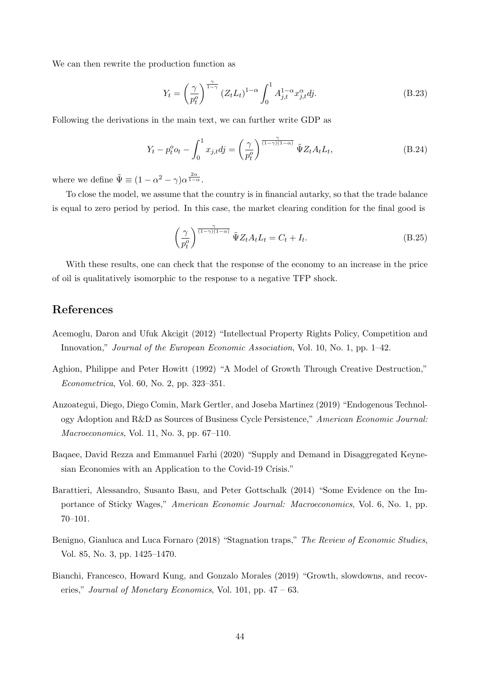We can then rewrite the production function as

$$
Y_t = \left(\frac{\gamma}{p_t^o}\right)^{\frac{\gamma}{1-\gamma}} \left(Z_t L_t\right)^{1-\alpha} \int_0^1 A_{j,t}^{1-\alpha} x_{j,t}^{\alpha} dj. \tag{B.23}
$$

Following the derivations in the main text, we can further write GDP as

$$
Y_t - p_t^o o_t - \int_0^1 x_{j,t} dj = \left(\frac{\gamma}{p_t^o}\right)^{\frac{\gamma}{(1-\gamma)(1-\alpha)}} \tilde{\Psi} Z_t A_t L_t,
$$
\n(B.24)

where we define  $\tilde{\Psi} \equiv (1 - \alpha^2 - \gamma)\alpha^{\frac{2\alpha}{1 - \alpha}}$ .

To close the model, we assume that the country is in financial autarky, so that the trade balance is equal to zero period by period. In this case, the market clearing condition for the final good is

$$
\left(\frac{\gamma}{p_t^o}\right)^{\frac{\gamma}{(1-\gamma)(1-\alpha)}} \tilde{\Psi} Z_t A_t L_t = C_t + I_t.
$$
\n(B.25)

With these results, one can check that the response of the economy to an increase in the price of oil is qualitatively isomorphic to the response to a negative TFP shock.

## References

- <span id="page-44-6"></span>Acemoglu, Daron and Ufuk Akcigit (2012) "Intellectual Property Rights Policy, Competition and Innovation," Journal of the European Economic Association, Vol. 10, No. 1, pp. 1–42.
- <span id="page-44-0"></span>Aghion, Philippe and Peter Howitt (1992) "A Model of Growth Through Creative Destruction," Econometrica, Vol. 60, No. 2, pp. 323–351.
- <span id="page-44-3"></span>Anzoategui, Diego, Diego Comin, Mark Gertler, and Joseba Martinez (2019) "Endogenous Technology Adoption and R&D as Sources of Business Cycle Persistence," American Economic Journal: Macroeconomics, Vol. 11, No. 3, pp. 67–110.
- <span id="page-44-1"></span>Baqaee, David Rezza and Emmanuel Farhi (2020) "Supply and Demand in Disaggregated Keynesian Economies with an Application to the Covid-19 Crisis."
- <span id="page-44-5"></span>Barattieri, Alessandro, Susanto Basu, and Peter Gottschalk (2014) "Some Evidence on the Importance of Sticky Wages," American Economic Journal: Macroeconomics, Vol. 6, No. 1, pp. 70–101.
- <span id="page-44-2"></span>Benigno, Gianluca and Luca Fornaro (2018) "Stagnation traps," The Review of Economic Studies, Vol. 85, No. 3, pp. 1425–1470.
- <span id="page-44-4"></span>Bianchi, Francesco, Howard Kung, and Gonzalo Morales (2019) "Growth, slowdowns, and recoveries," Journal of Monetary Economics, Vol. 101, pp.  $47 - 63$ .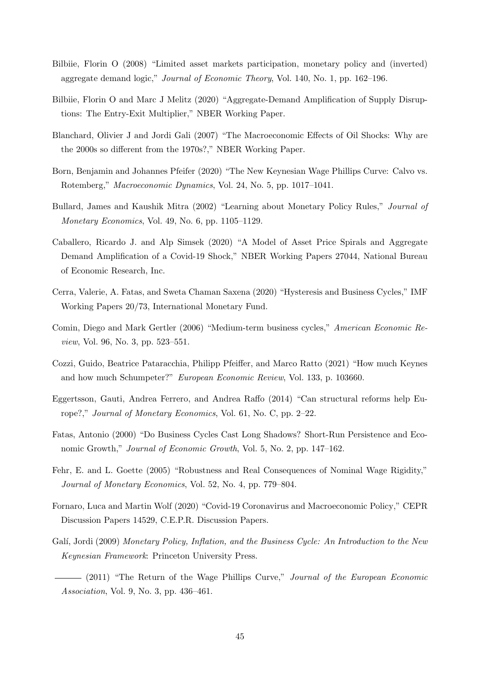- <span id="page-45-8"></span>Bilbiie, Florin O (2008) "Limited asset markets participation, monetary policy and (inverted) aggregate demand logic," Journal of Economic Theory, Vol. 140, No. 1, pp. 162–196.
- <span id="page-45-4"></span>Bilbiie, Florin O and Marc J Melitz (2020) "Aggregate-Demand Amplification of Supply Disruptions: The Entry-Exit Multiplier," NBER Working Paper.
- <span id="page-45-2"></span>Blanchard, Olivier J and Jordi Gali (2007) "The Macroeconomic Effects of Oil Shocks: Why are the 2000s so different from the 1970s?," NBER Working Paper.
- <span id="page-45-14"></span>Born, Benjamin and Johannes Pfeifer (2020) "The New Keynesian Wage Phillips Curve: Calvo vs. Rotemberg," Macroeconomic Dynamics, Vol. 24, No. 5, pp. 1017–1041.
- <span id="page-45-12"></span>Bullard, James and Kaushik Mitra (2002) "Learning about Monetary Policy Rules," Journal of Monetary Economics, Vol. 49, No. 6, pp. 1105–1129.
- <span id="page-45-3"></span>Caballero, Ricardo J. and Alp Simsek (2020) "A Model of Asset Price Spirals and Aggregate Demand Amplification of a Covid-19 Shock," NBER Working Papers 27044, National Bureau of Economic Research, Inc.
- <span id="page-45-10"></span>Cerra, Valerie, A. Fatas, and Sweta Chaman Saxena (2020) "Hysteresis and Business Cycles," IMF Working Papers 20/73, International Monetary Fund.
- <span id="page-45-6"></span>Comin, Diego and Mark Gertler (2006) "Medium-term business cycles," American Economic Review, Vol. 96, No. 3, pp. 523–551.
- <span id="page-45-7"></span>Cozzi, Guido, Beatrice Pataracchia, Philipp Pfeiffer, and Marco Ratto (2021) "How much Keynes and how much Schumpeter?" European Economic Review, Vol. 133, p. 103660.
- <span id="page-45-1"></span>Eggertsson, Gauti, Andrea Ferrero, and Andrea Raffo (2014) "Can structural reforms help Europe?," Journal of Monetary Economics, Vol. 61, No. C, pp. 2–22.
- <span id="page-45-5"></span>Fatas, Antonio (2000) "Do Business Cycles Cast Long Shadows? Short-Run Persistence and Economic Growth," Journal of Economic Growth, Vol. 5, No. 2, pp. 147–162.
- <span id="page-45-11"></span>Fehr, E. and L. Goette (2005) "Robustness and Real Consequences of Nominal Wage Rigidity," Journal of Monetary Economics, Vol. 52, No. 4, pp. 779–804.
- <span id="page-45-9"></span>Fornaro, Luca and Martin Wolf (2020) "Covid-19 Coronavirus and Macroeconomic Policy," CEPR Discussion Papers 14529, C.E.P.R. Discussion Papers.
- <span id="page-45-13"></span><span id="page-45-0"></span>Galí, Jordi (2009) Monetary Policy, Inflation, and the Business Cycle: An Introduction to the New Keynesian Framework: Princeton University Press.
	- (2011) "The Return of the Wage Phillips Curve," Journal of the European Economic Association, Vol. 9, No. 3, pp. 436–461.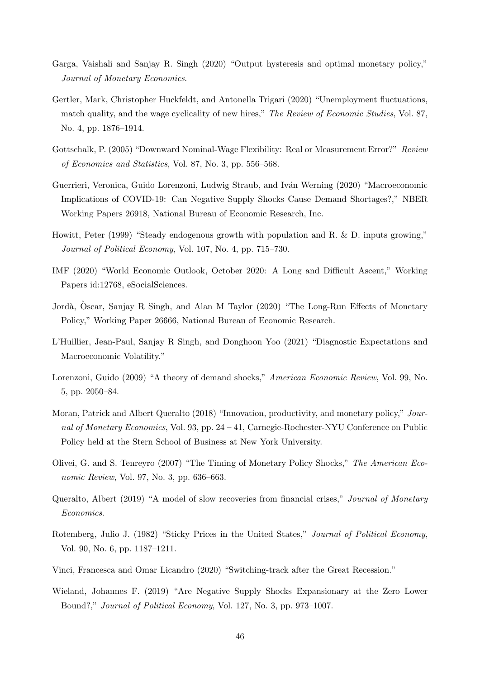- <span id="page-46-1"></span>Garga, Vaishali and Sanjay R. Singh (2020) "Output hysteresis and optimal monetary policy," Journal of Monetary Economics.
- <span id="page-46-12"></span>Gertler, Mark, Christopher Huckfeldt, and Antonella Trigari (2020) "Unemployment fluctuations, match quality, and the wage cyclicality of new hires," The Review of Economic Studies, Vol. 87, No. 4, pp. 1876–1914.
- <span id="page-46-11"></span>Gottschalk, P. (2005) "Downward Nominal-Wage Flexibility: Real or Measurement Error?" Review of Economics and Statistics, Vol. 87, No. 3, pp. 556–568.
- <span id="page-46-5"></span>Guerrieri, Veronica, Guido Lorenzoni, Ludwig Straub, and Iván Werning (2020) "Macroeconomic Implications of COVID-19: Can Negative Supply Shocks Cause Demand Shortages?," NBER Working Papers 26918, National Bureau of Economic Research, Inc.
- <span id="page-46-13"></span>Howitt, Peter (1999) "Steady endogenous growth with population and R. & D. inputs growing," Journal of Political Economy, Vol. 107, No. 4, pp. 715–730.
- <span id="page-46-0"></span>IMF (2020) "World Economic Outlook, October 2020: A Long and Difficult Ascent," Working Papers id:12768, eSocialSciences.
- <span id="page-46-3"></span>Jordà, Oscar, Sanjay R Singh, and Alan M Taylor (2020) "The Long-Run Effects of Monetary Policy," Working Paper 26666, National Bureau of Economic Research.
- <span id="page-46-6"></span>L'Huillier, Jean-Paul, Sanjay R Singh, and Donghoon Yoo (2021) "Diagnostic Expectations and Macroeconomic Volatility."
- <span id="page-46-14"></span>Lorenzoni, Guido (2009) "A theory of demand shocks," *American Economic Review*, Vol. 99, No. 5, pp. 2050–84.
- <span id="page-46-2"></span>Moran, Patrick and Albert Queralto (2018) "Innovation, productivity, and monetary policy," Journal of Monetary Economics, Vol. 93, pp. 24 – 41, Carnegie-Rochester-NYU Conference on Public Policy held at the Stern School of Business at New York University.
- <span id="page-46-10"></span>Olivei, G. and S. Tenreyro (2007) "The Timing of Monetary Policy Shocks," The American Economic Review, Vol. 97, No. 3, pp. 636–663.
- <span id="page-46-7"></span>Queralto, Albert (2019) "A model of slow recoveries from financial crises," Journal of Monetary Economics.
- <span id="page-46-9"></span>Rotemberg, Julio J. (1982) "Sticky Prices in the United States," Journal of Political Economy, Vol. 90, No. 6, pp. 1187–1211.
- <span id="page-46-8"></span>Vinci, Francesca and Omar Licandro (2020) "Switching-track after the Great Recession."
- <span id="page-46-4"></span>Wieland, Johannes F. (2019) "Are Negative Supply Shocks Expansionary at the Zero Lower Bound?," Journal of Political Economy, Vol. 127, No. 3, pp. 973–1007.